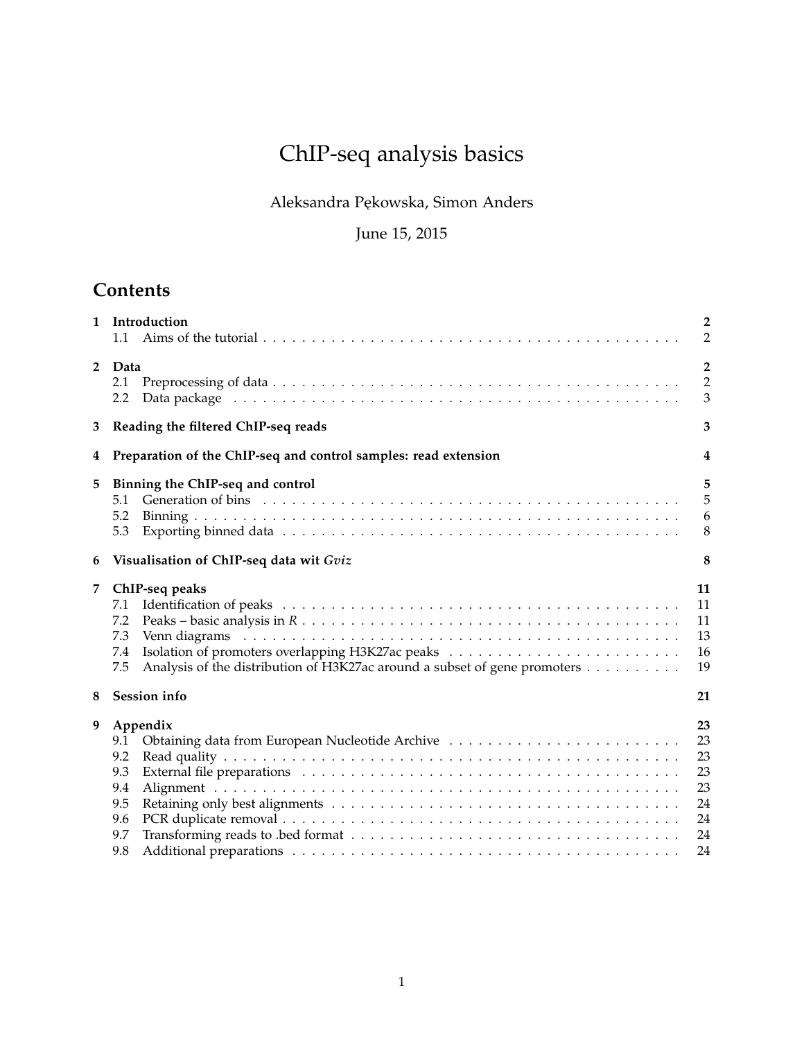# ChIP-seq analysis basics

## Aleksandra Pękowska, Simon Anders

## June 15, 2015

## **Contents**

| $\mathbf{1}$   | Introduction<br>1.1                                                                                                            | $\overline{2}$<br>$\overline{2}$                   |
|----------------|--------------------------------------------------------------------------------------------------------------------------------|----------------------------------------------------|
| $\overline{2}$ | Data<br>2.1<br>2.2                                                                                                             | $\overline{2}$<br>$\overline{2}$<br>3              |
| 3              | Reading the filtered ChIP-seq reads                                                                                            | 3                                                  |
| 4              | Preparation of the ChIP-seq and control samples: read extension                                                                | $\overline{\mathbf{4}}$                            |
| 5              | Binning the ChIP-seq and control<br>5.1<br>5.2<br>5.3                                                                          | 5<br>5<br>6<br>8                                   |
| 6              | Visualisation of ChIP-seq data wit Gviz                                                                                        | 8                                                  |
| 7              | ChIP-seq peaks<br>7.1<br>7.2<br>7.3<br>7.4<br>Analysis of the distribution of H3K27ac around a subset of gene promoters<br>7.5 | 11<br>11<br>11<br>13<br>16<br>19                   |
| 8              | <b>Session</b> info                                                                                                            | 21                                                 |
| 9              | Appendix<br>9.1<br>9.2<br>9.3<br>9.4<br>9.5<br>9.6<br>9.7<br>9.8                                                               | 23<br>23<br>23<br>23<br>23<br>24<br>24<br>24<br>24 |
|                |                                                                                                                                |                                                    |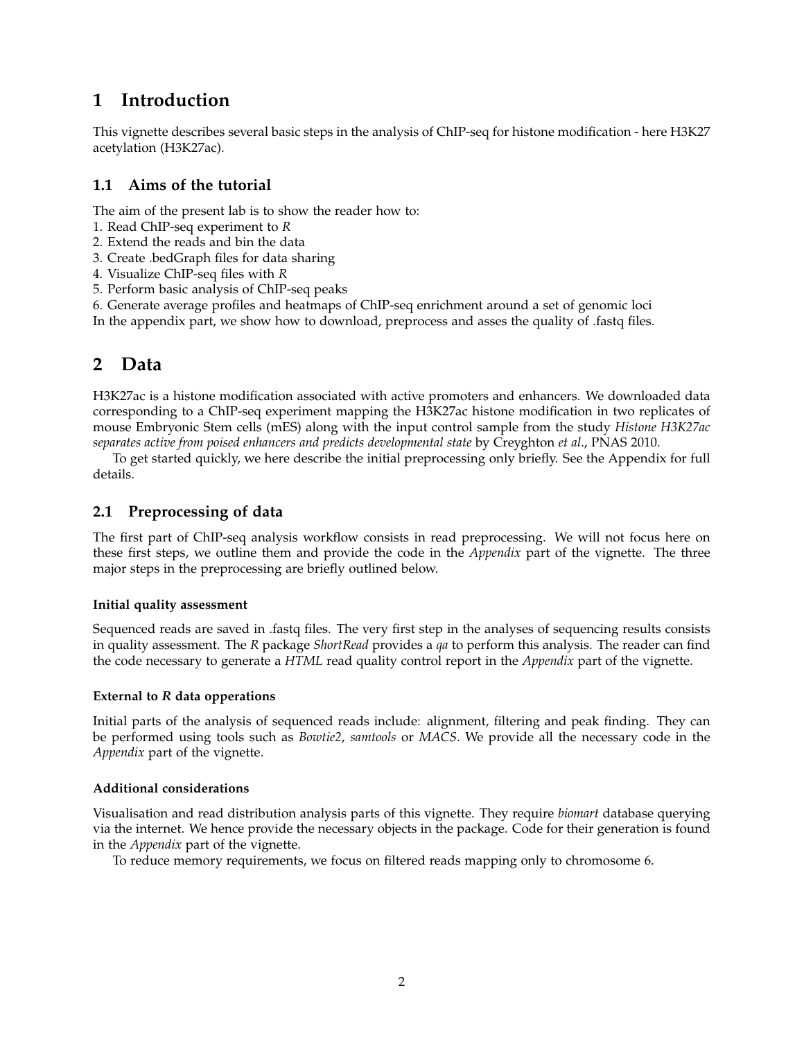## **1 Introduction**

This vignette describes several basic steps in the analysis of ChIP-seq for histone modification - here H3K27 acetylation (H3K27ac).

### **1.1 Aims of the tutorial**

The aim of the present lab is to show the reader how to:

- 1. Read ChIP-seq experiment to *R*
- 2. Extend the reads and bin the data
- 3. Create .bedGraph files for data sharing
- 4. Visualize ChIP-seq files with *R*
- 5. Perform basic analysis of ChIP-seq peaks
- 6. Generate average profiles and heatmaps of ChIP-seq enrichment around a set of genomic loci

In the appendix part, we show how to download, preprocess and asses the quality of .fastq files.

## **2 Data**

H3K27ac is a histone modification associated with active promoters and enhancers. We downloaded data corresponding to a ChIP-seq experiment mapping the H3K27ac histone modification in two replicates of mouse Embryonic Stem cells (mES) along with the input control sample from the study *Histone H3K27ac separates active from poised enhancers and predicts developmental state* by Creyghton *et al*., PNAS 2010.

To get started quickly, we here describe the initial preprocessing only briefly. See the Appendix for full details.

### **2.1 Preprocessing of data**

The first part of ChIP-seq analysis workflow consists in read preprocessing. We will not focus here on these first steps, we outline them and provide the code in the *Appendix* part of the vignette. The three major steps in the preprocessing are briefly outlined below.

#### **Initial quality assessment**

Sequenced reads are saved in .fastq files. The very first step in the analyses of sequencing results consists in quality assessment. The *R* package *ShortRead* provides a *qa* to perform this analysis. The reader can find the code necessary to generate a *HTML* read quality control report in the *Appendix* part of the vignette.

#### **External to** *R* **data opperations**

Initial parts of the analysis of sequenced reads include: alignment, filtering and peak finding. They can be performed using tools such as *Bowtie2*, *samtools* or *MACS*. We provide all the necessary code in the *Appendix* part of the vignette.

### **Additional considerations**

Visualisation and read distribution analysis parts of this vignette. They require *biomart* database querying via the internet. We hence provide the necessary objects in the package. Code for their generation is found in the *Appendix* part of the vignette.

To reduce memory requirements, we focus on filtered reads mapping only to chromosome 6.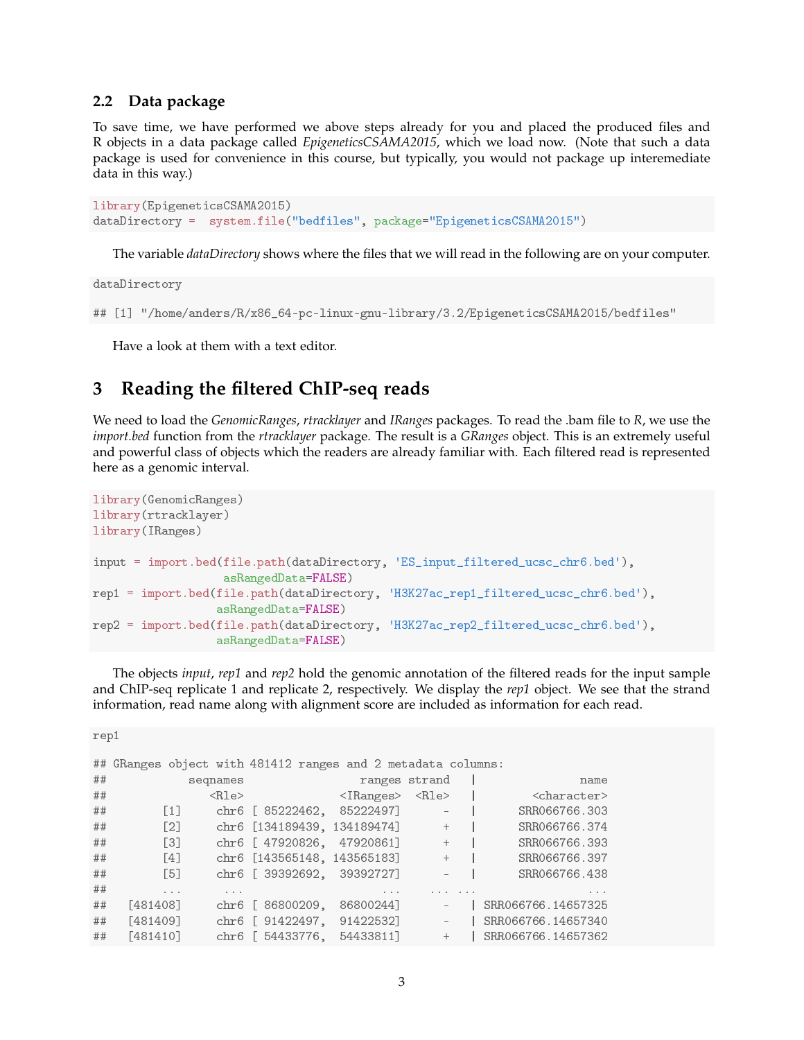### **2.2 Data package**

To save time, we have performed we above steps already for you and placed the produced files and R objects in a data package called *EpigeneticsCSAMA2015*, which we load now. (Note that such a data package is used for convenience in this course, but typically, you would not package up interemediate data in this way.)

```
library(EpigeneticsCSAMA2015)
dataDirectory = system.file("bedfiles", package="EpigeneticsCSAMA2015")
```
The variable *dataDirectory* shows where the files that we will read in the following are on your computer.

dataDirectory

```
## [1] "/home/anders/R/x86_64-pc-linux-gnu-library/3.2/EpigeneticsCSAMA2015/bedfiles"
```
Have a look at them with a text editor.

## **3 Reading the filtered ChIP-seq reads**

We need to load the *GenomicRanges*, *rtracklayer* and *IRanges* packages. To read the .bam file to *R*, we use the *import.bed* function from the *rtracklayer* package. The result is a *GRanges* object. This is an extremely useful and powerful class of objects which the readers are already familiar with. Each filtered read is represented here as a genomic interval.

```
library(GenomicRanges)
library(rtracklayer)
library(IRanges)
input = import.bed(file.path(dataDirectory, 'ES_input_filtered_ucsc_chr6.bed'),
                   asRangedData=FALSE)
rep1 = import.bed(file.path(dataDirectory, 'H3K27ac_rep1_filtered_ucsc_chr6.bed'),
                  asRangedData=FALSE)
rep2 = import.bed(file.path(dataDirectory, 'H3K27ac_rep2_filtered_ucsc_chr6.bed'),
                  asRangedData=FALSE)
```
The objects *input*, *rep1* and *rep2* hold the genomic annotation of the filtered reads for the input sample and ChIP-seq replicate 1 and replicate 2, respectively. We display the *rep1* object. We see that the strand information, read name along with alignment score are included as information for each read.

rep1

|    | ## GRanges object with 481412 ranges and 2 metadata columns: |             |                   |                                   |         |                                                                    |              |                                    |
|----|--------------------------------------------------------------|-------------|-------------------|-----------------------------------|---------|--------------------------------------------------------------------|--------------|------------------------------------|
| ## |                                                              | seqnames    |                   |                                   |         | ranges strand                                                      |              | name                               |
| ## |                                                              | $<$ Rle $>$ |                   | $\langle$ IRanges> $\langle$ Rle> |         |                                                                    |              | <character></character>            |
| ## | $\lfloor 1 \rfloor$                                          |             |                   | chr6 [ 85222462, 85222497]        |         | $\sim$ $-7$                                                        |              | SRR066766.303                      |
| ## | $\lceil 2 \rceil$                                            |             |                   | chr6 [134189439, 134189474] +     |         |                                                                    |              | SRR066766.374                      |
| ## | $\lceil 3 \rceil$                                            |             | chr6 [ 47920826,  | 47920861]                         |         | $+$                                                                |              | SRR066766.393                      |
| ## | $\lceil 4 \rceil$                                            |             |                   | chr6 [143565148, 143565183]       |         | $+$                                                                |              | SRR066766.397                      |
| ## | <b>F51</b>                                                   |             |                   | chr6 [ 39392692, 39392727]        |         |                                                                    |              | SRR066766.438                      |
| ## | $\cdots$                                                     | $\cdots$    |                   |                                   | $- - -$ |                                                                    | $-1 - 1 - 1$ | $\mathbf{a}=\mathbf{a}+\mathbf{a}$ |
| ## | [481408]                                                     |             | chr6 [ 86800209,  | 86800244]                         |         | $\overline{\phantom{a}}$                                           |              | SRR066766.14657325                 |
| ## | [481409]                                                     |             |                   | chr6 [ 91422497, 91422532]        |         | $\label{eq:1} \mathcal{L}_{\text{eff}} = \mathcal{L}_{\text{eff}}$ |              | SRR066766.14657340                 |
| ## | [481410]                                                     |             | chr6 $[54433776,$ | 54433811]                         |         |                                                                    | $+$          | SRR066766.14657362                 |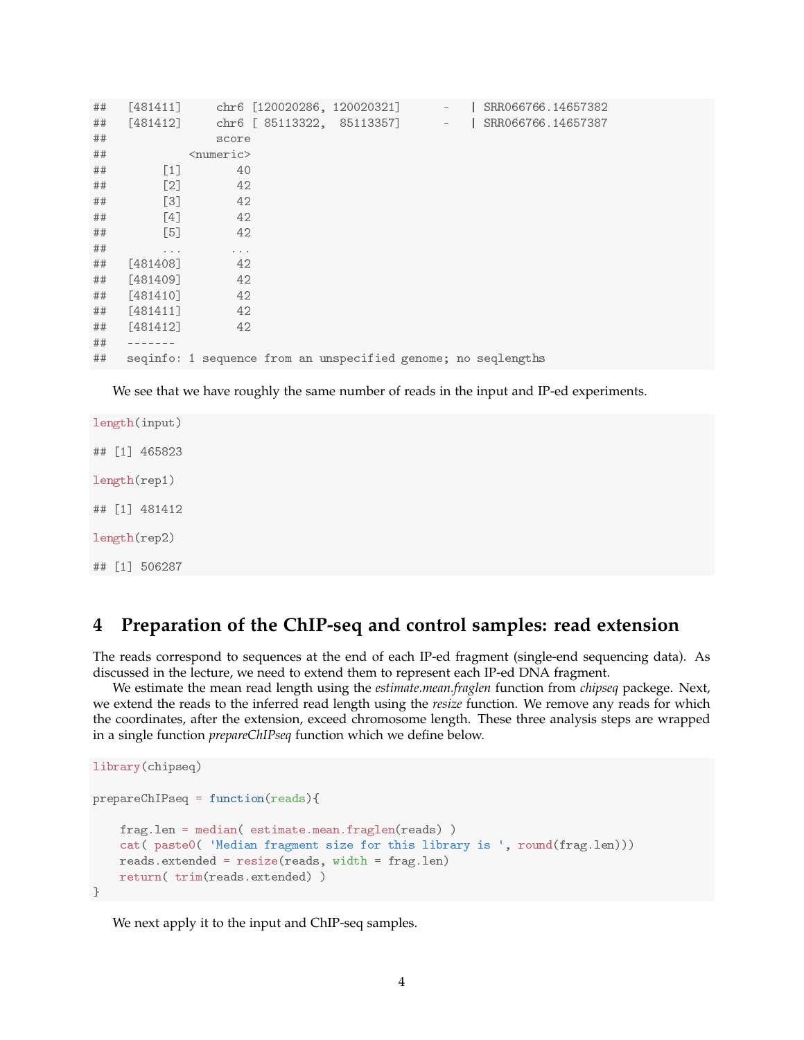| ## | $[481411]$        |                             | chr6 [120020286, 120020321]                                   | $\overline{\phantom{a}}$ | SRR066766.14657382 |
|----|-------------------|-----------------------------|---------------------------------------------------------------|--------------------------|--------------------|
| ## | $[481412]$        |                             | chr6 [ 85113322, 85113357]                                    | $\overline{\phantom{a}}$ | SRR066766.14657387 |
| ## |                   | score                       |                                                               |                          |                    |
| ## |                   | $\langle$ numeric $\rangle$ |                                                               |                          |                    |
| ## | $[1]$             | 40                          |                                                               |                          |                    |
| ## | $\lceil 2 \rceil$ | 42                          |                                                               |                          |                    |
| ## | [3]               | 42                          |                                                               |                          |                    |
| ## | $[4]$             | 42                          |                                                               |                          |                    |
| ## | $[5]$             | 42                          |                                                               |                          |                    |
| ## | $\cdots$          | $\cdots$                    |                                                               |                          |                    |
| ## | [481408]          | 42                          |                                                               |                          |                    |
| ## | [481409]          | 42                          |                                                               |                          |                    |
| ## | [481410]          | 42                          |                                                               |                          |                    |
| ## | [481411]          | 42                          |                                                               |                          |                    |
| ## | [481412]          | 42                          |                                                               |                          |                    |
| ## |                   |                             |                                                               |                          |                    |
| ## |                   |                             | seqinfo: 1 sequence from an unspecified genome; no seqlengths |                          |                    |

We see that we have roughly the same number of reads in the input and IP-ed experiments.

length(input) ## [1] 465823 length(rep1) ## [1] 481412 length(rep2) ## [1] 506287

## **4 Preparation of the ChIP-seq and control samples: read extension**

The reads correspond to sequences at the end of each IP-ed fragment (single-end sequencing data). As discussed in the lecture, we need to extend them to represent each IP-ed DNA fragment.

We estimate the mean read length using the *estimate.mean.fraglen* function from *chipseq* packege. Next, we extend the reads to the inferred read length using the *resize* function. We remove any reads for which the coordinates, after the extension, exceed chromosome length. These three analysis steps are wrapped in a single function *prepareChIPseq* function which we define below.

```
library(chipseq)
prepareChIPseq = function(reads){
    frag.len = median( estimate.mean.fraglen(reads) )
    cat( paste0( 'Median fragment size for this library is ', round(frag.len)))
   reads.extended = resize(reads, width = frag.len)
    return( trim(reads.extended) )
}
```
We next apply it to the input and ChIP-seq samples.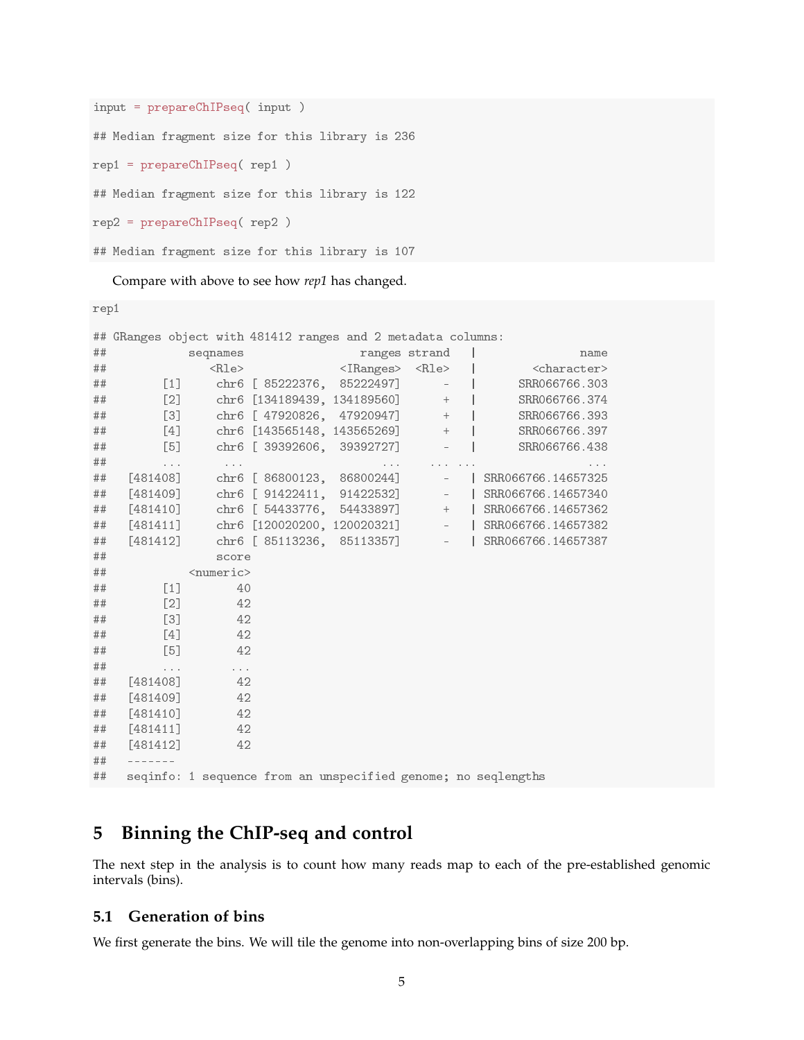```
input = prepareChIPseq( input )
## Median fragment size for this library is 236
rep1 = prepareChIPseq( rep1 )
## Median fragment size for this library is 122
rep2 = prepareChIPseq( rep2 )
## Median fragment size for this library is 107
```
Compare with above to see how *rep1* has changed.

rep1

|    | ## GRanges object with 481412 ranges and 2 metadata columns: |                                  |                                 |               |                                                               |
|----|--------------------------------------------------------------|----------------------------------|---------------------------------|---------------|---------------------------------------------------------------|
| ## |                                                              | seqnames                         |                                 | ranges strand | name                                                          |
| ## |                                                              | $<$ Rle $>$                      | <iranges> <rle></rle></iranges> |               | <character></character>                                       |
| ## | $[1]$                                                        |                                  | chr6 [ 85222376, 85222497]      | $\sim$        | SRR066766.303                                                 |
| ## | $[2]$                                                        |                                  | chr6 [134189439, 134189560]     | $+$           | SRR066766.374                                                 |
| ## | $[3]$                                                        |                                  | chr6 [ 47920826, 47920947]      | $+$           | SRR066766.393                                                 |
| ## | [4]                                                          |                                  | chr6 [143565148, 143565269]     | $+$           | SRR066766.397                                                 |
| ## | [5]                                                          |                                  | chr6 [ 39392606, 39392727]      |               | SRR066766.438                                                 |
| ## | $\cdots$                                                     | $\cdots$                         |                                 |               |                                                               |
| ## | [481408]                                                     |                                  | chr6 [ 86800123, 86800244]      |               | SRR066766.14657325                                            |
| ## | $[481409]$                                                   |                                  | chr6 [ 91422411, 91422532]      | $\equiv$      | SRR066766.14657340                                            |
| ## | $[481410]$                                                   |                                  | chr6 [ 54433776, 54433897]      |               | $+$ $ $<br>SRR066766.14657362                                 |
| ## | [481411]                                                     |                                  | chr6 [120020200, 120020321]     |               | $-$   SRR066766.14657382                                      |
| ## | $[481412]$                                                   |                                  | chr6 [ 85113236, 85113357]      | $\sim$        | SRR066766.14657387                                            |
| ## |                                                              | score                            |                                 |               |                                                               |
| ## |                                                              | <numeric></numeric>              |                                 |               |                                                               |
| ## | $\left[1\right]$                                             | 40                               |                                 |               |                                                               |
| ## | $[2]$                                                        | 42                               |                                 |               |                                                               |
| ## | $\left[3\right]$                                             | 42                               |                                 |               |                                                               |
| ## | [4]                                                          | 42                               |                                 |               |                                                               |
| ## | [5]                                                          | 42                               |                                 |               |                                                               |
| ## | $\epsilon \rightarrow -\epsilon$                             | $\epsilon \rightarrow -\epsilon$ |                                 |               |                                                               |
| ## | [481408]                                                     | 42                               |                                 |               |                                                               |
| ## | [481409]                                                     | 42                               |                                 |               |                                                               |
| ## | [481410]                                                     | 42                               |                                 |               |                                                               |
| ## | [481411]                                                     | 42                               |                                 |               |                                                               |
| ## | $[481412]$                                                   | 42                               |                                 |               |                                                               |
| ## |                                                              |                                  |                                 |               |                                                               |
| ## |                                                              |                                  |                                 |               | seqinfo: 1 sequence from an unspecified genome; no seqlengths |

## **5 Binning the ChIP-seq and control**

The next step in the analysis is to count how many reads map to each of the pre-established genomic intervals (bins).

### **5.1 Generation of bins**

We first generate the bins. We will tile the genome into non-overlapping bins of size 200 bp.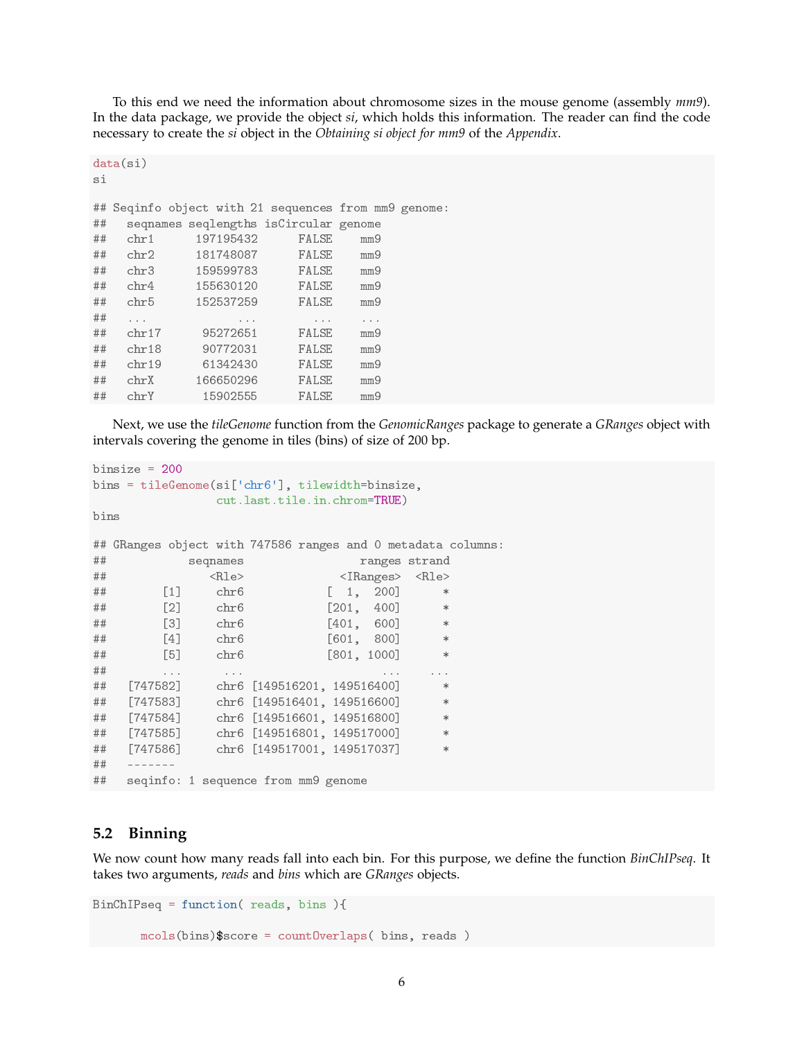To this end we need the information about chromosome sizes in the mouse genome (assembly *mm9*). In the data package, we provide the object *si*, which holds this information. The reader can find the code necessary to create the *si* object in the *Obtaining si object for mm9* of the *Appendix*.

```
data(si)
si
## Seqinfo object with 21 sequences from mm9 genome:
## seqnames seqlengths isCircular genome
## chr1 197195432 FALSE mm9
## chr2 181748087 FALSE mm9
## chr3 159599783 FALSE mm9
## chr4 155630120 FALSE mm9
## chr5 152537259 FALSE mm9
## ... ... ... ...
## chr17 95272651 FALSE mm9
## chr18 90772031 FALSE mm9
## chr19 61342430 FALSE mm9
## chrX 166650296 FALSE mm9
## chrY 15902555 FALSE mm9
```
Next, we use the *tileGenome* function from the *GenomicRanges* package to generate a *GRanges* object with intervals covering the genome in tiles (bins) of size of 200 bp.

```
binsize = 200
bins = tileGenome(si['chr6'], tilewidth=binsize,
            cut.last.tile.in.chrom=TRUE)
bins
## GRanges object with 747586 ranges and 0 metadata columns:
## seqnames ranges strand
## <Rle> <IRanges> <Rle>
## [1] chr6 [ 1, 200] *
## [2] chr6 [201, 400] *
## [3] chr6 [401, 600] *
## [4] chr6 [601, 800] *
## [5] chr6 [801, 1000] *
## ... ... ... ...
## [747582] chr6 [149516201, 149516400] *
## [747583] chr6 [149516401, 149516600] *
## [747584] chr6 [149516601, 149516800] *
## [747585] chr6 [149516801, 149517000] *
## [747586] chr6 [149517001, 149517037] *
## -------
## seqinfo: 1 sequence from mm9 genome
```
#### **5.2 Binning**

We now count how many reads fall into each bin. For this purpose, we define the function *BinChIPseq*. It takes two arguments, *reads* and *bins* which are *GRanges* objects.

```
BinChIPseq = function( reads, bins ){
       mcols(bins)$score = countOverlaps( bins, reads )
```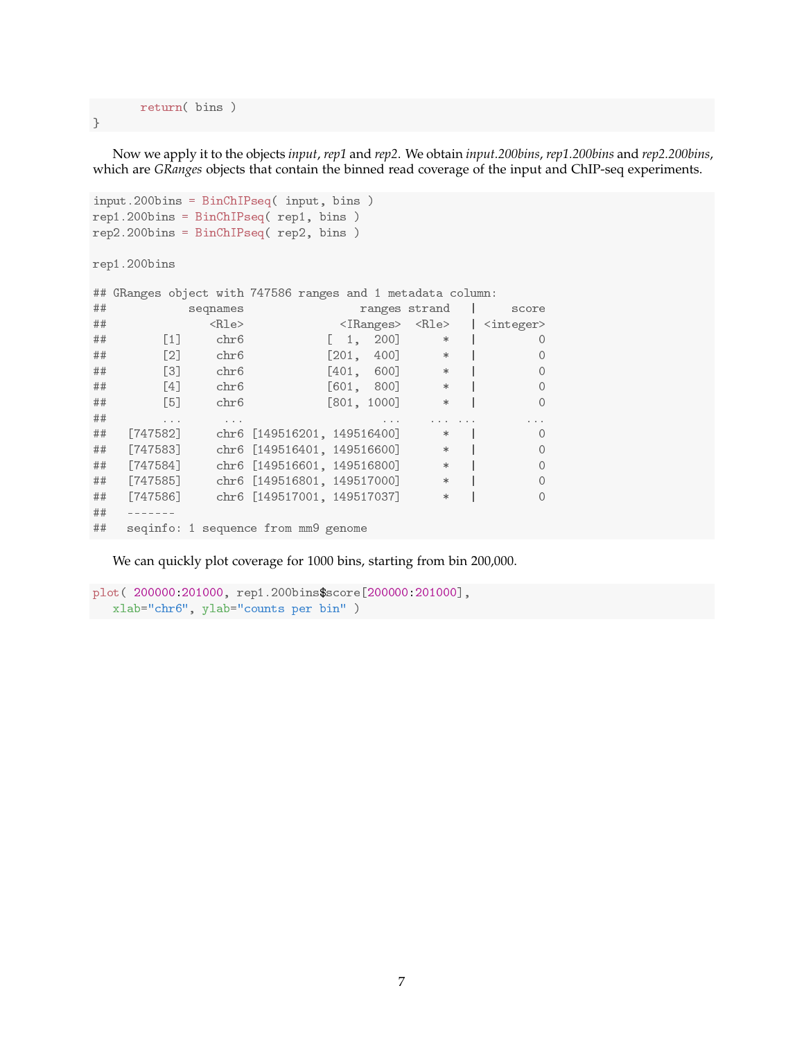return( bins )

}

Now we apply it to the objects *input*, *rep1* and *rep2*. We obtain *input.200bins*, *rep1.200bins* and *rep2.200bins*, which are *GRanges* objects that contain the binned read coverage of the input and ChIP-seq experiments.

```
input.200bins = BinChIPseq( input, bins )
rep1.200bins = BinChIPseq( rep1, bins )
rep2.200bins = BinChIPseq( rep2, bins )
rep1.200bins
## GRanges object with 747586 ranges and 1 metadata column:
## seqnames ranges strand | score
## <Rle> <IRanges> <Rle> | <integer>
## [1] chr6 [ 1, 200] * | 0
## [2] chr6 [201, 400] * | 0
## [3] chr6 [401, 600] * | 0
## [4] chr6 [601, 800] * | 0
## [5] chr6 [801, 1000] * | 0
## ... ... ... ... ... ...
## [747582] chr6 [149516201, 149516400] * | 0
## [747583] chr6 [149516401, 149516600] * | 0
## [747584] chr6 [149516601, 149516800] * | 0
## [747585] chr6 [149516801, 149517000] * | 0
## [747586] chr6 [149517001, 149517037] * | 0
## -------
## seqinfo: 1 sequence from mm9 genome
```
We can quickly plot coverage for 1000 bins, starting from bin 200,000.

```
plot( 200000:201000, rep1.200bins$score[200000:201000],
   xlab="chr6", ylab="counts per bin" )
```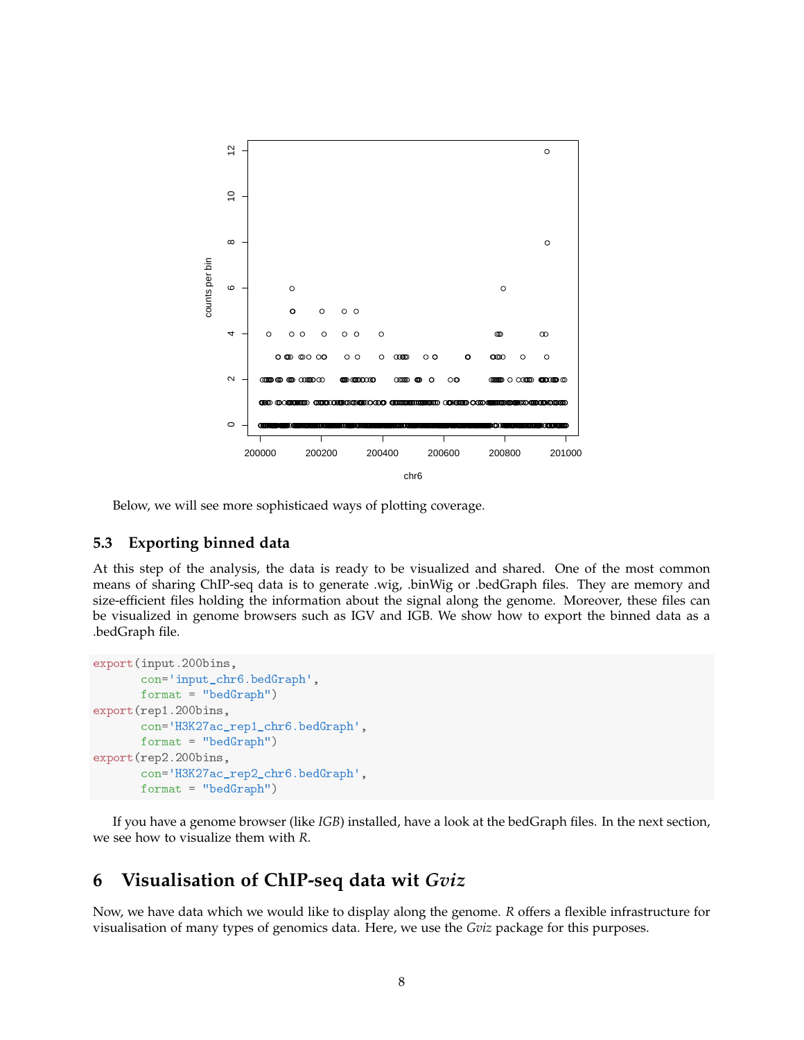

Below, we will see more sophisticaed ways of plotting coverage.

#### **5.3 Exporting binned data**

At this step of the analysis, the data is ready to be visualized and shared. One of the most common means of sharing ChIP-seq data is to generate .wig, .binWig or .bedGraph files. They are memory and size-efficient files holding the information about the signal along the genome. Moreover, these files can be visualized in genome browsers such as IGV and IGB. We show how to export the binned data as a .bedGraph file.

```
export(input.200bins,
       con='input_chr6.bedGraph',
      format = "bedGraph")
export(rep1.200bins,
       con='H3K27ac_rep1_chr6.bedGraph',
      format = "bedGraph")
export(rep2.200bins,
       con='H3K27ac_rep2_chr6.bedGraph',
       format = "bedGraph")
```
If you have a genome browser (like *IGB*) installed, have a look at the bedGraph files. In the next section, we see how to visualize them with *R*.

## **6 Visualisation of ChIP-seq data wit** *Gviz*

Now, we have data which we would like to display along the genome. *R* offers a flexible infrastructure for visualisation of many types of genomics data. Here, we use the *Gviz* package for this purposes.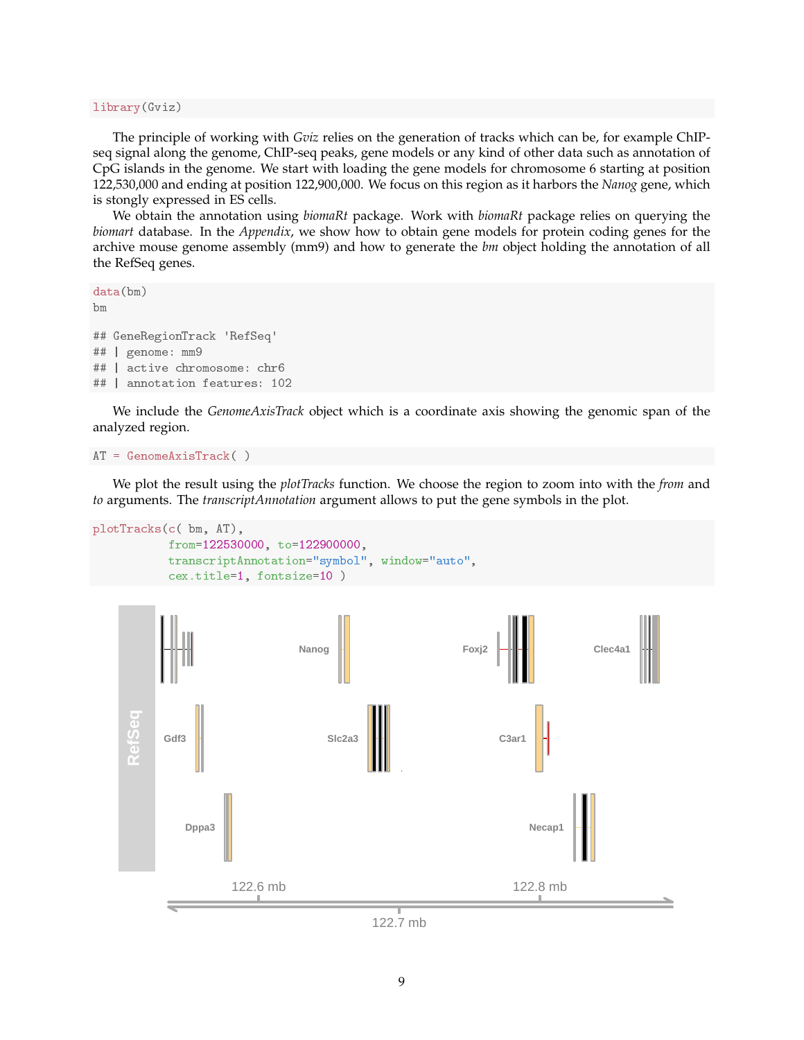library(Gviz)

The principle of working with *Gviz* relies on the generation of tracks which can be, for example ChIPseq signal along the genome, ChIP-seq peaks, gene models or any kind of other data such as annotation of CpG islands in the genome. We start with loading the gene models for chromosome 6 starting at position 122,530,000 and ending at position 122,900,000. We focus on this region as it harbors the *Nanog* gene, which is stongly expressed in ES cells.

We obtain the annotation using *biomaRt* package. Work with *biomaRt* package relies on querying the *biomart* database. In the *Appendix*, we show how to obtain gene models for protein coding genes for the archive mouse genome assembly (mm9) and how to generate the *bm* object holding the annotation of all the RefSeq genes.

```
data(bm)
bm
## GeneRegionTrack 'RefSeq'
## | genome: mm9
## | active chromosome: chr6
## | annotation features: 102
```
We include the *GenomeAxisTrack* object which is a coordinate axis showing the genomic span of the analyzed region.

```
AT = GenomeAxisTrack( )
```
We plot the result using the *plotTracks* function. We choose the region to zoom into with the *from* and *to* arguments. The *transcriptAnnotation* argument allows to put the gene symbols in the plot.

```
plotTracks(c( bm, AT),
```

```
from=122530000, to=122900000,
transcriptAnnotation="symbol", window="auto",
cex.title=1, fontsize=10 )
```


122.7 mb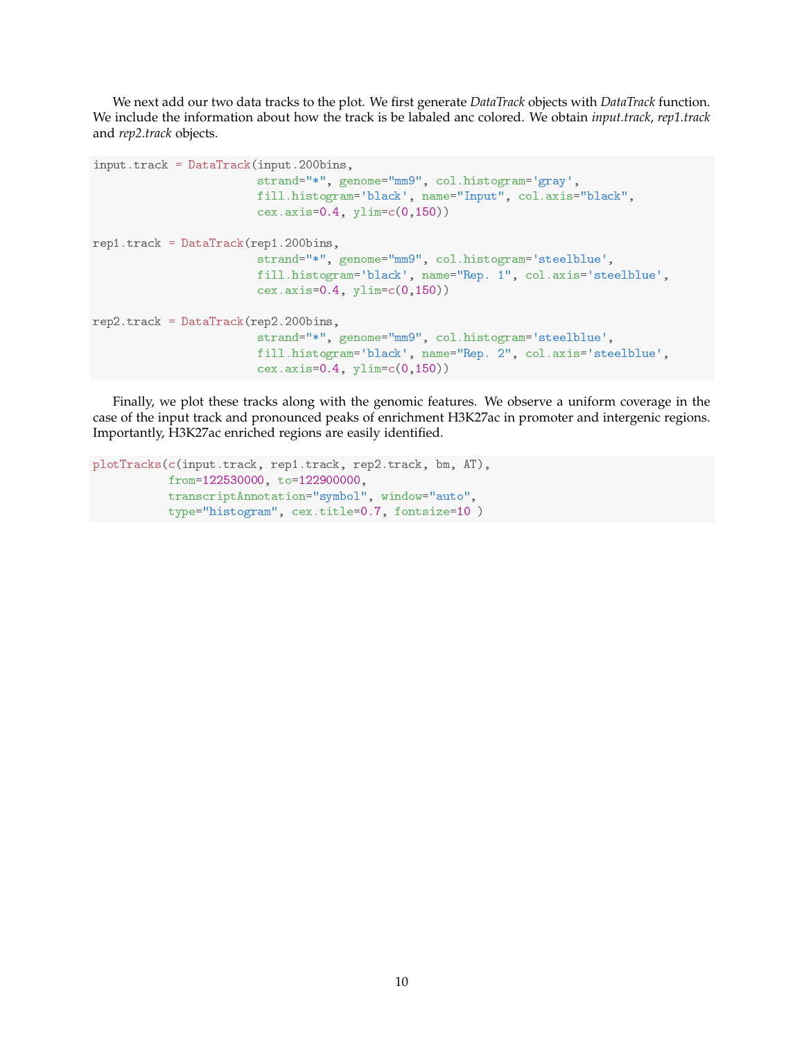We next add our two data tracks to the plot. We first generate *DataTrack* objects with *DataTrack* function. We include the information about how the track is be labaled anc colored. We obtain *input.track*, *rep1.track* and *rep2.track* objects.

```
input.track = DataFrame(k(input.200bins,strand="*", genome="mm9", col.histogram='gray',
                        fill.histogram='black', name="Input", col.axis="black",
                        cex. axis = 0.4, ylim = c(0, 150)rep1.track = DataFramek(rep1.200bins,strand="*", genome="mm9", col.histogram='steelblue',
                        fill.histogram='black', name="Rep. 1", col.axis='steelblue',
                        cex.axis=0.4, ylim=c(0,150))
rep2.track = DataFrame(k (rep2.200bins,strand="*", genome="mm9", col.histogram='steelblue',
                        fill.histogram='black', name="Rep. 2", col.axis='steelblue',
                        cex.axis=0.4, ylim=c(0,150))
```
Finally, we plot these tracks along with the genomic features. We observe a uniform coverage in the case of the input track and pronounced peaks of enrichment H3K27ac in promoter and intergenic regions. Importantly, H3K27ac enriched regions are easily identified.

```
plotTracks(c(input.track, rep1.track, rep2.track, bm, AT),
           from=122530000, to=122900000,
           transcriptAnnotation="symbol", window="auto",
           type="histogram", cex.title=0.7, fontsize=10 )
```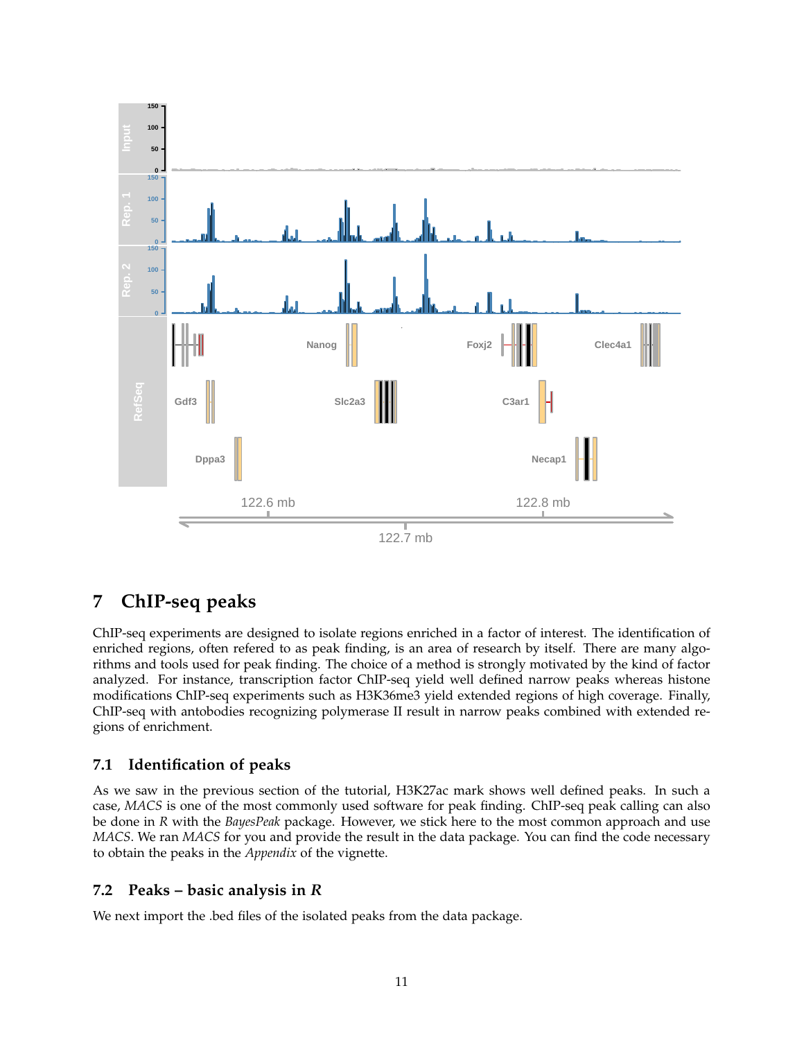

## **7 ChIP-seq peaks**

ChIP-seq experiments are designed to isolate regions enriched in a factor of interest. The identification of enriched regions, often refered to as peak finding, is an area of research by itself. There are many algorithms and tools used for peak finding. The choice of a method is strongly motivated by the kind of factor analyzed. For instance, transcription factor ChIP-seq yield well defined narrow peaks whereas histone modifications ChIP-seq experiments such as H3K36me3 yield extended regions of high coverage. Finally, ChIP-seq with antobodies recognizing polymerase II result in narrow peaks combined with extended regions of enrichment.

## **7.1 Identification of peaks**

As we saw in the previous section of the tutorial, H3K27ac mark shows well defined peaks. In such a case, *MACS* is one of the most commonly used software for peak finding. ChIP-seq peak calling can also be done in *R* with the *BayesPeak* package. However, we stick here to the most common approach and use *MACS*. We ran *MACS* for you and provide the result in the data package. You can find the code necessary to obtain the peaks in the *Appendix* of the vignette.

## **7.2 Peaks – basic analysis in** *R*

We next import the .bed files of the isolated peaks from the data package.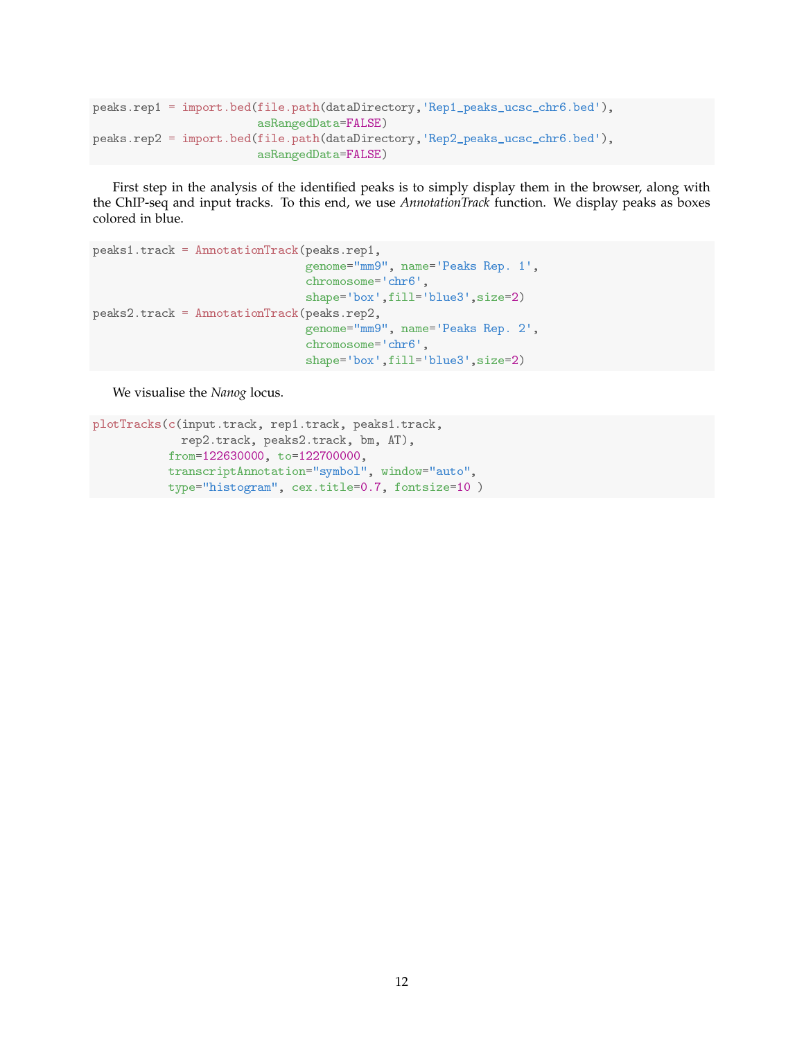```
peaks.rep1 = import.bed(file.path(dataDirectory,'Rep1_peaks_ucsc_chr6.bed'),
                        asRangedData=FALSE)
peaks.rep2 = import.bed(file.path(dataDirectory,'Rep2_peaks_ucsc_chr6.bed'),
                        asRangedData=FALSE)
```
First step in the analysis of the identified peaks is to simply display them in the browser, along with the ChIP-seq and input tracks. To this end, we use *AnnotationTrack* function. We display peaks as boxes colored in blue.

```
peaks1.track = AnnotationTrack(peaks.rep1,
                               genome="mm9", name='Peaks Rep. 1',
                               chromosome='chr6',
                               shape='box',fill='blue3',size=2)
peaks2.track = AnnotationTrack(peaks.rep2,
                               genome="mm9", name='Peaks Rep. 2',
                               chromosome='chr6',
                               shape='box',fill='blue3',size=2)
```
We visualise the *Nanog* locus.

```
plotTracks(c(input.track, rep1.track, peaks1.track,
             rep2.track, peaks2.track, bm, AT),
           from=122630000, to=122700000,
           transcriptAnnotation="symbol", window="auto",
           type="histogram", cex.title=0.7, fontsize=10 )
```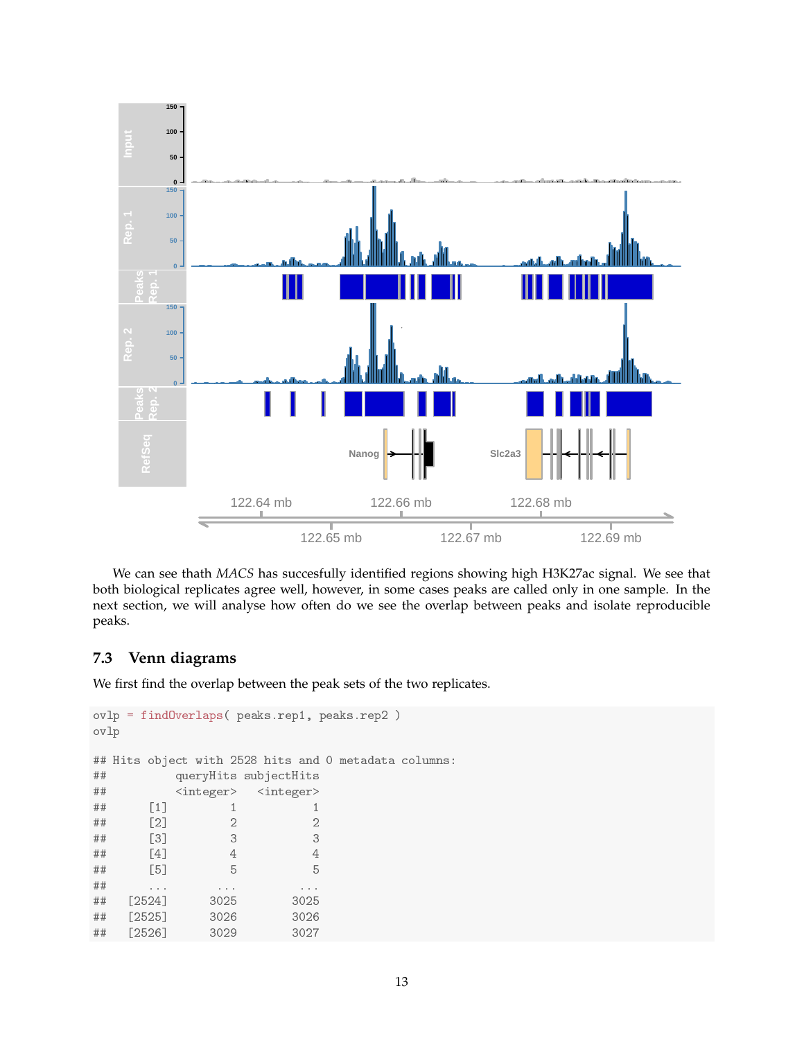

We can see thath *MACS* has succesfully identified regions showing high H3K27ac signal. We see that both biological replicates agree well, however, in some cases peaks are called only in one sample. In the next section, we will analyse how often do we see the overlap between peaks and isolate reproducible peaks.

### **7.3 Venn diagrams**

We first find the overlap between the peak sets of the two replicates.

```
ovlp = findOverlaps( peaks.rep1, peaks.rep2 )
ovlp
## Hits object with 2528 hits and 0 metadata columns:
## queryHits subjectHits
## <integer> <integer>
## [1] 1 1
## [2] 2 2
## [3] 3 3
## [4] 4 4
## [5] 5 5
## ... ... ...
## [2524] 3025 3025
## [2525] 3026 3026
## [2526] 3029 3027
```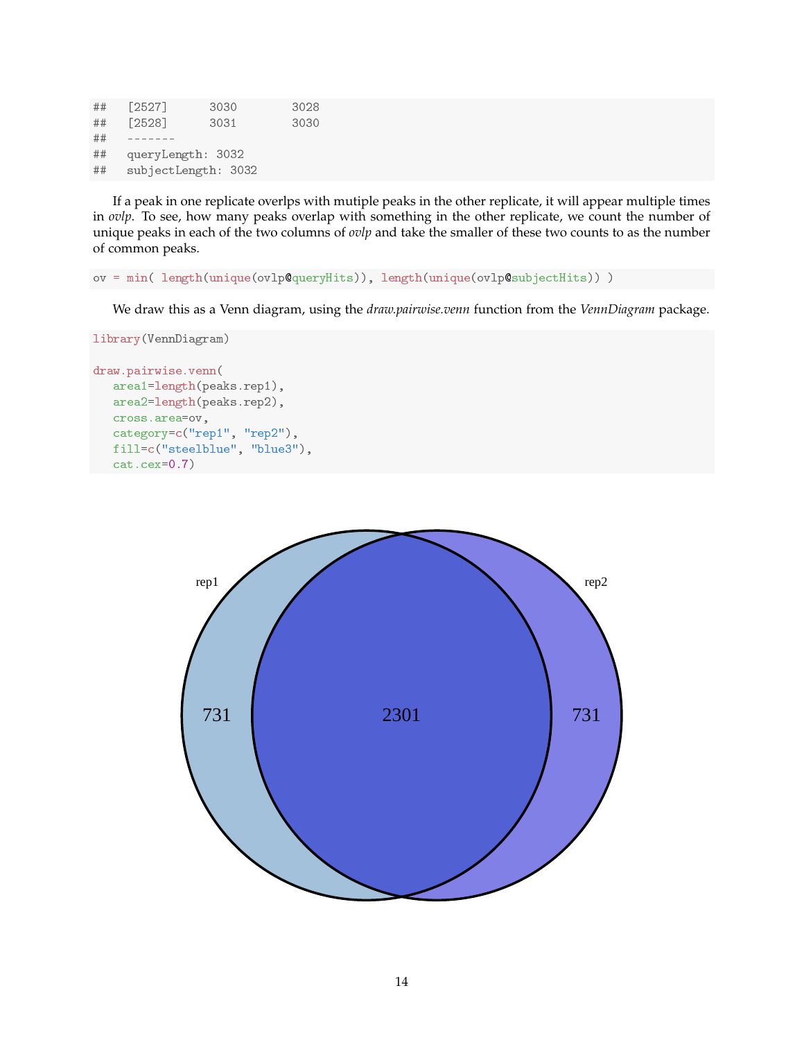## [2527] 3030 3028 ## [2528] 3031 3030 ## ------- ## queryLength: 3032 ## subjectLength: 3032

If a peak in one replicate overlps with mutiple peaks in the other replicate, it will appear multiple times in *ovlp*. To see, how many peaks overlap with something in the other replicate, we count the number of unique peaks in each of the two columns of *ovlp* and take the smaller of these two counts to as the number of common peaks.

ov = min( length(unique(ovlp@queryHits)), length(unique(ovlp@subjectHits)) )

We draw this as a Venn diagram, using the *draw.pairwise.venn* function from the *VennDiagram* package.

```
library(VennDiagram)
```

```
draw.pairwise.venn(
   area1=length(peaks.rep1),
   area2=length(peaks.rep2),
   cross.area=ov,
   category=c("rep1", "rep2"),
   fill=c("steelblue", "blue3"),
   cat.cex=0.7)
```
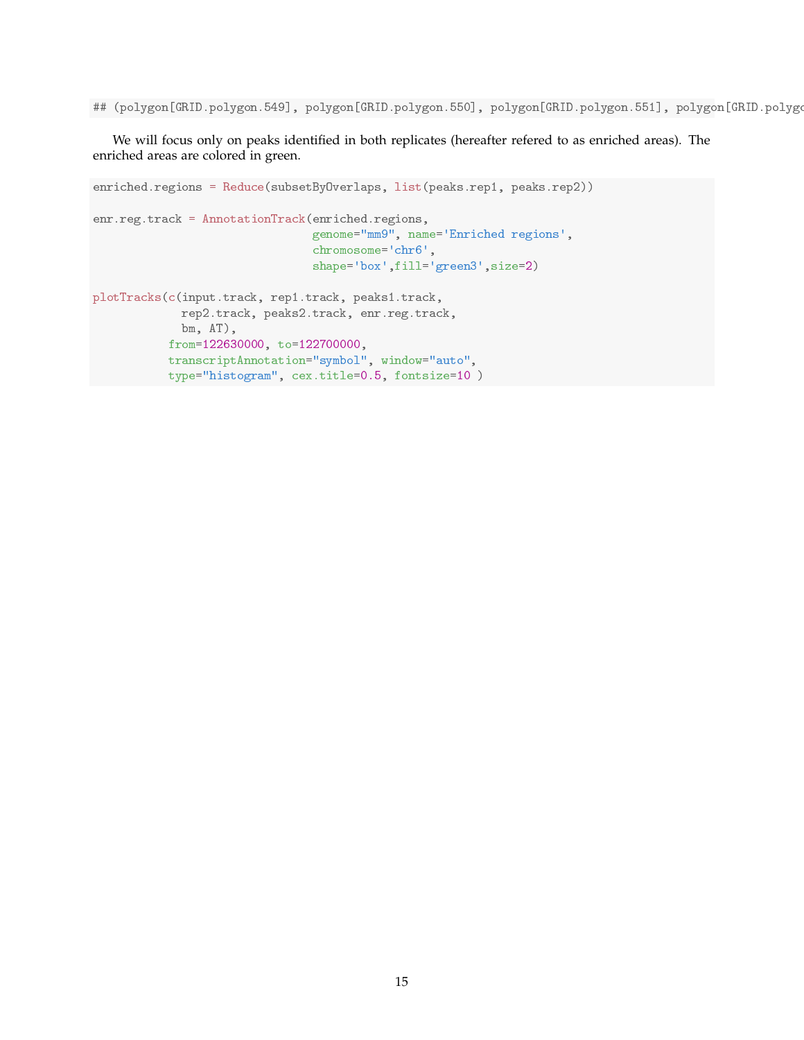## (polygon[GRID.polygon.549], polygon[GRID.polygon.550], polygon[GRID.polygon.551], polygon[GRID.polygo

We will focus only on peaks identified in both replicates (hereafter refered to as enriched areas). The enriched areas are colored in green.

```
enriched.regions = Reduce(subsetByOverlaps, list(peaks.rep1, peaks.rep2))
enr.reg.track = AnnotationTrack(enriched.regions,
                                genome="mm9", name='Enriched regions',
                                chromosome='chr6',
                                shape='box',fill='green3',size=2)
plotTracks(c(input.track, rep1.track, peaks1.track,
             rep2.track, peaks2.track, enr.reg.track,
             bm, AT),
           from=122630000, to=122700000,
           transcriptAnnotation="symbol", window="auto",
           type="histogram", cex.title=0.5, fontsize=10 )
```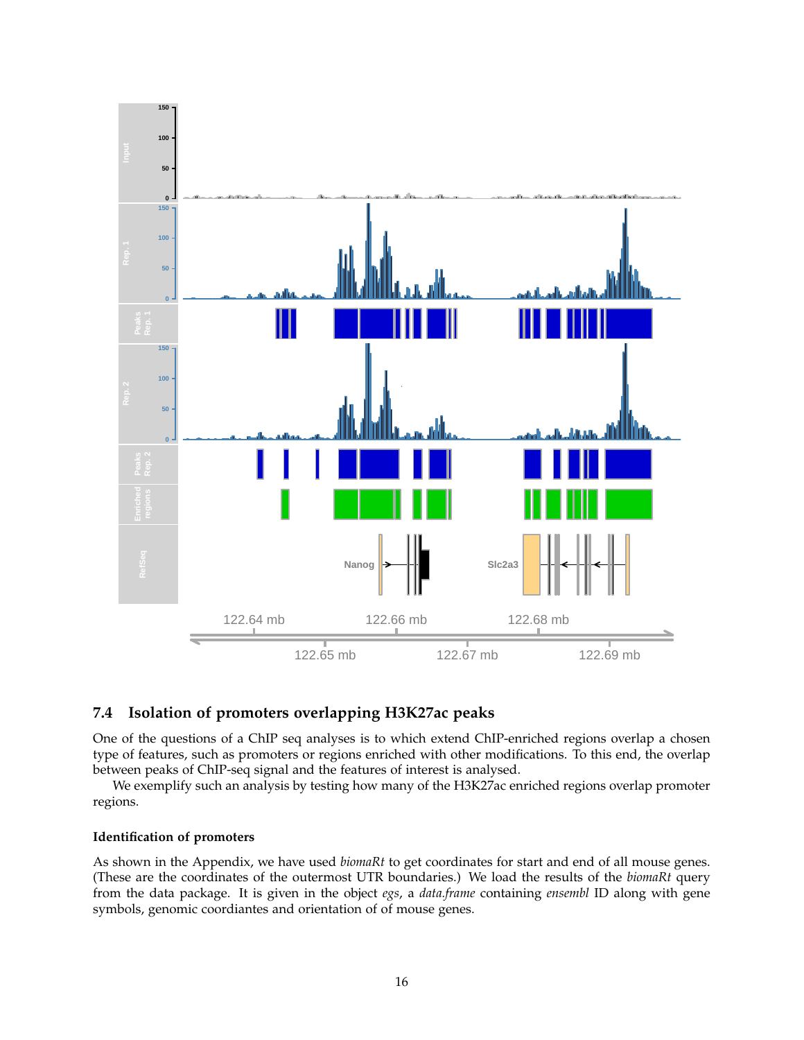

### **7.4 Isolation of promoters overlapping H3K27ac peaks**

One of the questions of a ChIP seq analyses is to which extend ChIP-enriched regions overlap a chosen type of features, such as promoters or regions enriched with other modifications. To this end, the overlap between peaks of ChIP-seq signal and the features of interest is analysed.

We exemplify such an analysis by testing how many of the H3K27ac enriched regions overlap promoter regions.

#### **Identification of promoters**

As shown in the Appendix, we have used *biomaRt* to get coordinates for start and end of all mouse genes. (These are the coordinates of the outermost UTR boundaries.) We load the results of the *biomaRt* query from the data package. It is given in the object *egs*, a *data.frame* containing *ensembl* ID along with gene symbols, genomic coordiantes and orientation of of mouse genes.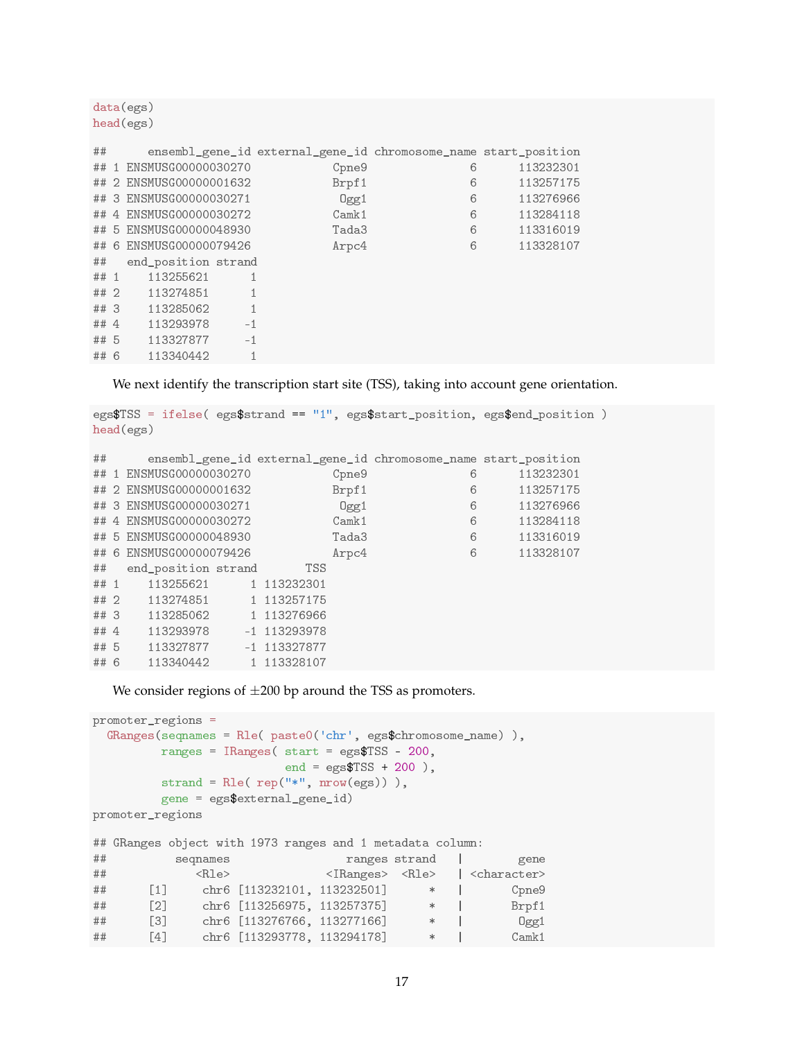```
data(egs)
head(egs)
## ensembl_gene_id external_gene_id chromosome_name start_position
## 1 ENSMUSG00000030270 Cpne9 6 113232301
## 2 ENSMUSG00000001632 Brpf1 6 113257175
## 3 ENSMUSG00000030271 Ogg1 6 113276966
## 4 ENSMUSG00000030272 Camk1 6 113284118
## 5 ENSMUSG00000048930 Tada3 6 113316019
## 6 ENSMUSG00000079426 Arpc4 6 113328107
## end_position strand
## 1 113255621 1
## 2 113274851 1
## 3 113285062 1
## 4 113293978 -1
## 5 113327877 -1
## 6 113340442 1
```
We next identify the transcription start site (TSS), taking into account gene orientation.

```
egs$TSS = ifelse( egs$strand == "1", egs$start_position, egs$end_position )
head(egs)
## ensembl_gene_id external_gene_id chromosome_name start_position
```

|      | ## 1 ENSMUSG00000030270 |  |                | Cpne9 | 6         | 113232301 |
|------|-------------------------|--|----------------|-------|-----------|-----------|
|      | ## 2 ENSMUSG00000001632 |  | Brpf1          | 6     | 113257175 |           |
|      | ## 3 ENSMUSG00000030271 |  | 0gg1           | 6     | 113276966 |           |
|      | ## 4 ENSMUSG00000030272 |  |                | Camk1 | 6         | 113284118 |
|      | ## 5 ENSMUSG00000048930 |  |                | Tada3 | 6         | 113316019 |
|      | ## 6 ENSMUSG00000079426 |  |                | Arpc4 | 6         | 113328107 |
| ##   | end_position strand     |  | TSS            |       |           |           |
| ## 1 | 113255621               |  | 1 113232301    |       |           |           |
| ##2  | 113274851               |  | 1 113257175    |       |           |           |
| ##3  | 113285062               |  | 1 113276966    |       |           |           |
| ## 4 | 113293978               |  | $-1$ 113293978 |       |           |           |
| ## 5 | 113327877               |  | $-1$ 113327877 |       |           |           |
| ## 6 | 113340442               |  | 1 113328107    |       |           |           |

We consider regions of  $\pm 200$  bp around the TSS as promoters.

```
promoter_regions =
 GRanges(seqnames = Rle( paste0('chr', egs$chromosome_name) ),
       ranges = IRanges( start = egs$TSS - 200,
                     end = egs$TSS + 200),
        strand = Rle(rep("**", nrow(egs))),
       gene = egs$external_gene_id)
promoter_regions
## GRanges object with 1973 ranges and 1 metadata column:
## seqnames ranges strand | gene
## <Rle> <IRanges> <Rle> | <character>
## [1] chr6 [113232101, 113232501] * | Cpne9
## [2] chr6 [113256975, 113257375] * | Brpf1
## [3] chr6 [113276766, 113277166] * | Ogg1
## [4] chr6 [113293778, 113294178] * | Camk1
```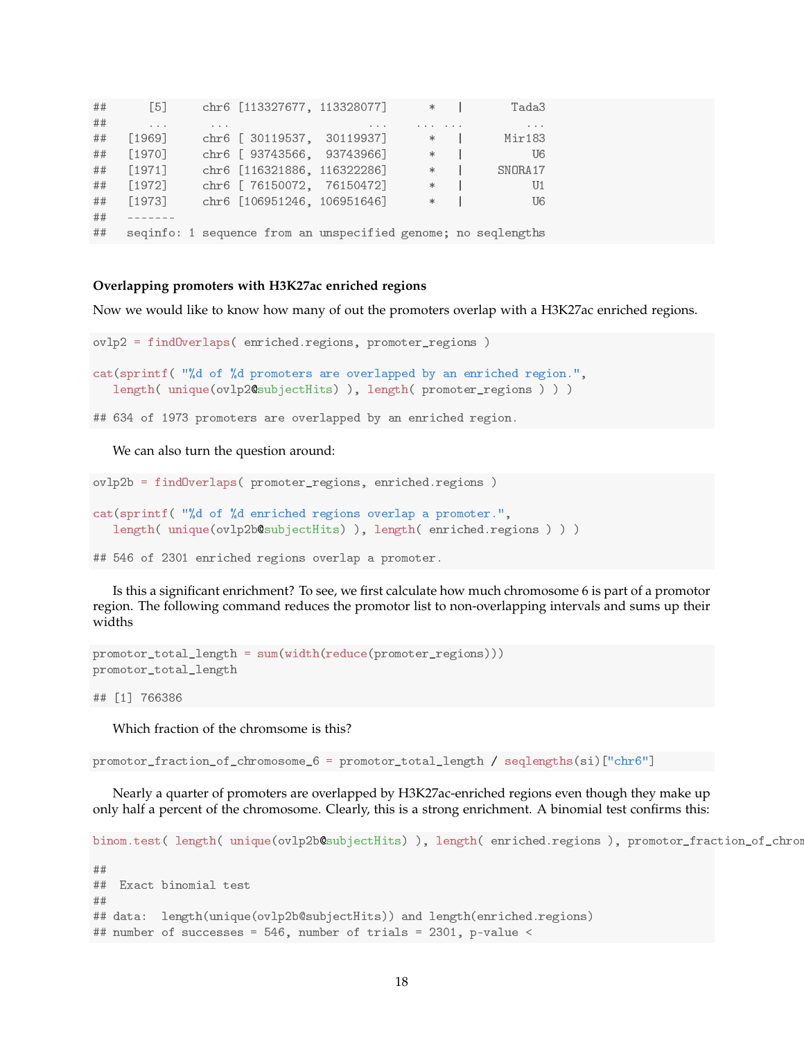| ## | $\lceil 5 \rceil$ |          |  | chr6 [113327677, 113328077]                                                                      | $*$                                                                                                                                    | Tada3                               |  |
|----|-------------------|----------|--|--------------------------------------------------------------------------------------------------|----------------------------------------------------------------------------------------------------------------------------------------|-------------------------------------|--|
| ## | $\cdots$          | $\cdots$ |  | $\begin{array}{ccccccccccccccccc} \bullet & \bullet & \bullet & \bullet & \bullet & \end{array}$ | $\begin{array}{ccccccccccccccccc} \bullet & \bullet & \bullet & \bullet & \bullet & \bullet & \bullet & \bullet & \bullet \end{array}$ | $\bullet\quad \bullet\quad \bullet$ |  |
| ## | [1969]            |          |  | chr6 [ 30119537, 30119937]                                                                       | $\ast$                                                                                                                                 | Mir183                              |  |
| ## | [1970]            |          |  | chr6 [ 93743566, 93743966]                                                                       | $\ast$                                                                                                                                 | U6                                  |  |
| ## | $[1971]$          |          |  | chr6 [116321886, 116322286]                                                                      | $\ast$                                                                                                                                 | SNORA17                             |  |
| ## | $[1972]$          |          |  | chr6 [ 76150072, 76150472]                                                                       | $\ast$                                                                                                                                 | U <sub>1</sub>                      |  |
| ## | $[1973]$          |          |  | chr6 [106951246, 106951646]                                                                      | $\ast$                                                                                                                                 | U6                                  |  |
| ## |                   |          |  |                                                                                                  |                                                                                                                                        |                                     |  |
| ## |                   |          |  | seqinfo: 1 sequence from an unspecified genome; no seqlengths                                    |                                                                                                                                        |                                     |  |

#### **Overlapping promoters with H3K27ac enriched regions**

Now we would like to know how many of out the promoters overlap with a H3K27ac enriched regions.

```
ovlp2 = findOverlaps( enriched.regions, promoter_regions )
cat(sprintf( "%d of %d promoters are overlapped by an enriched region.",
   length( unique(ovlp2@subjectHits) ), length( promoter_regions ) ) )
## 634 of 1973 promoters are overlapped by an enriched region.
```
We can also turn the question around:

```
ovlp2b = findOverlaps( promoter_regions, enriched.regions )
cat(sprintf( "%d of %d enriched regions overlap a promoter.",
   length( unique(ovlp2b@subjectHits) ), length( enriched.regions ) ) )
```
## 546 of 2301 enriched regions overlap a promoter.

Is this a significant enrichment? To see, we first calculate how much chromosome 6 is part of a promotor region. The following command reduces the promotor list to non-overlapping intervals and sums up their widths

```
promotor_total_length = sum(width(reduce(promoter_regions)))
promotor_total_length
```
## [1] 766386

Which fraction of the chromsome is this?

promotor\_fraction\_of\_chromosome\_6 = promotor\_total\_length / seqlengths(si)["chr6"]

Nearly a quarter of promoters are overlapped by H3K27ac-enriched regions even though they make up only half a percent of the chromosome. Clearly, this is a strong enrichment. A binomial test confirms this:

```
binom.test( length( unique(ovlp2b@subjectHits) ), length( enriched.regions ), promotor_fraction_of_chromosome
##
## Exact binomial test
##
## data: length(unique(ovlp2b@subjectHits)) and length(enriched.regions)
## number of successes = 546, number of trials = 2301, p-value <
```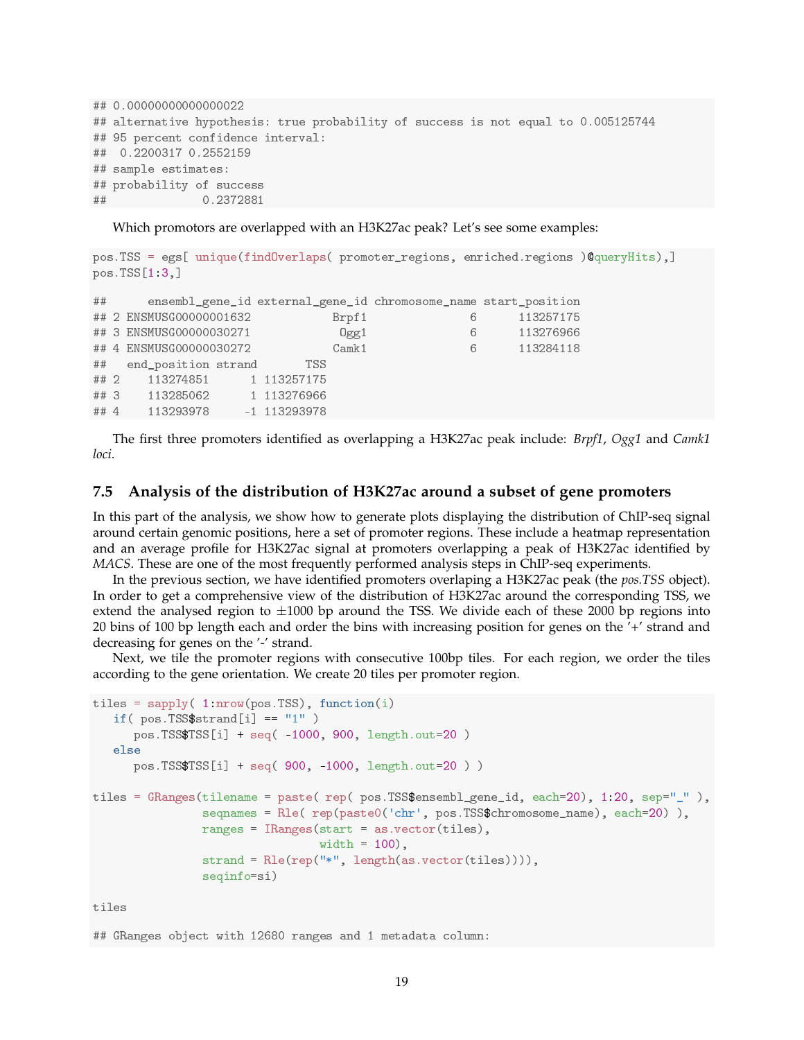```
## 0.00000000000000022
## alternative hypothesis: true probability of success is not equal to 0.005125744
## 95 percent confidence interval:
## 0.2200317 0.2552159
## sample estimates:
## probability of success
## 0.2372881
```
Which promotors are overlapped with an H3K27ac peak? Let's see some examples:

```
pos.TSS = egs[ unique(findOverlaps( promoter_regions, enriched.regions )@queryHits),]
pos.TSS[1:3,]
## ensembl_gene_id external_gene_id chromosome_name start_position
## 2 ENSMUSG00000001632 Brpf1 6 113257175
## 3 ENSMUSG00000030271 Ogg1 6 113276966
## 4 ENSMUSG00000030272 Camk1 6 113284118
## end_position strand TSS
## 2 113274851 1 113257175
## 3 113285062 1 113276966
## 4 113293978 -1 113293978
```
The first three promoters identified as overlapping a H3K27ac peak include: *Brpf1*, *Ogg1* and *Camk1 loci*.

#### **7.5 Analysis of the distribution of H3K27ac around a subset of gene promoters**

In this part of the analysis, we show how to generate plots displaying the distribution of ChIP-seq signal around certain genomic positions, here a set of promoter regions. These include a heatmap representation and an average profile for H3K27ac signal at promoters overlapping a peak of H3K27ac identified by *MACS*. These are one of the most frequently performed analysis steps in ChIP-seq experiments.

In the previous section, we have identified promoters overlaping a H3K27ac peak (the *pos.TSS* object). In order to get a comprehensive view of the distribution of H3K27ac around the corresponding TSS, we extend the analysed region to  $\pm 1000$  bp around the TSS. We divide each of these 2000 bp regions into 20 bins of 100 bp length each and order the bins with increasing position for genes on the '+' strand and decreasing for genes on the '-' strand.

Next, we tile the promoter regions with consecutive 100bp tiles. For each region, we order the tiles according to the gene orientation. We create 20 tiles per promoter region.

```
tiles = \text{supply}(1:\text{nrow}(pos.TSS), function(i)if( pos.TSS$strand[i] == "1" )pos.TSS$TSS[i] + seq( -1000, 900, length.out=20 )
   else
      pos.TSS$TSS[i] + seq( 900, -1000, length.out=20 ) )
tiles = GRanges(tilename = paste( rep( pos.TSS$ensembl_gene_id, each=20), 1:20, sep="_"),
                seqnames = Rle( rep(paste0('chr', pos.TSS$chromosome_name), each=20) ),
                ranges = IRanges(start = as.vector(tiles),
                                  width = 100,
                strand = Rle(rep("*", length(as.vector(tiles)))),
                seqinfo=si)
```
tiles

## GRanges object with 12680 ranges and 1 metadata column: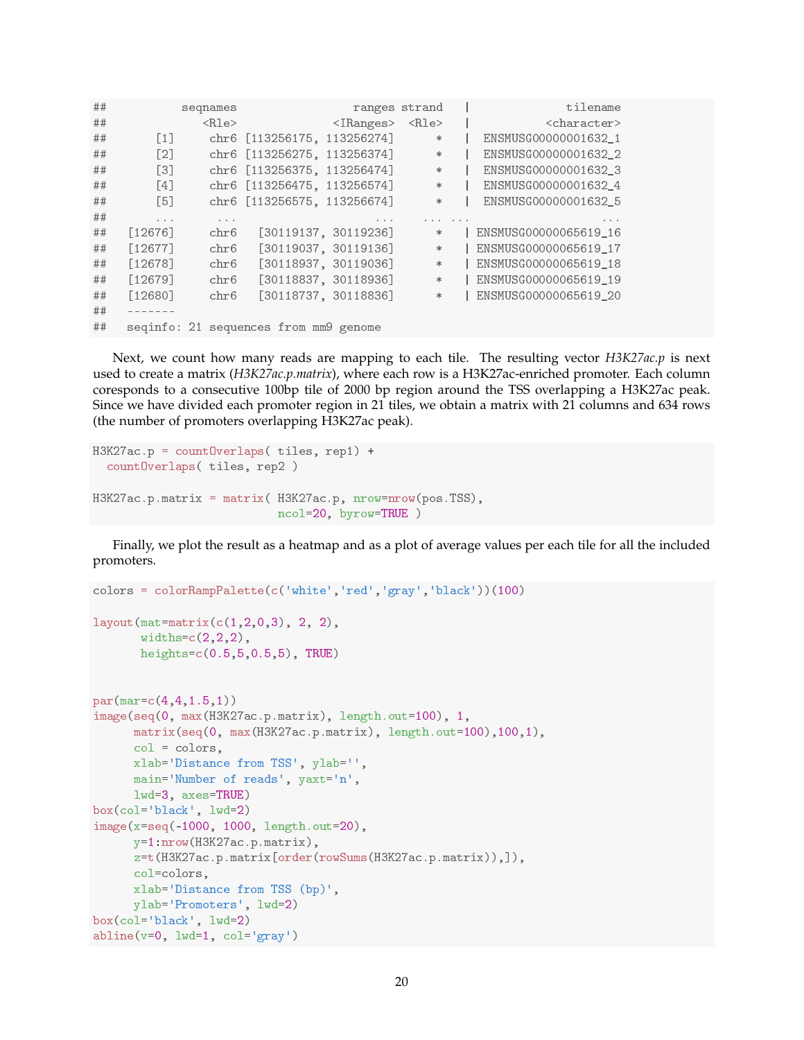| ## |                   | seqnames    |                                       | ranges strand                                                                                  |             |                                                                                                  | tilename                                                                                         |
|----|-------------------|-------------|---------------------------------------|------------------------------------------------------------------------------------------------|-------------|--------------------------------------------------------------------------------------------------|--------------------------------------------------------------------------------------------------|
| ## |                   | $<$ Rle $>$ |                                       | $\langle$ IRanges>                                                                             | $<$ Rle $>$ |                                                                                                  | <character></character>                                                                          |
| ## | $[1]$             |             | chr6 [113256175, 113256274]           |                                                                                                | $\ast$      |                                                                                                  | ENSMUSG00000001632 1                                                                             |
| ## | [2]               |             | chr6 [113256275, 113256374]           |                                                                                                | $\ast$      |                                                                                                  | ENSMUSG00000001632 2                                                                             |
| ## | $\lceil 3 \rceil$ |             | chr6 [113256375, 113256474]           |                                                                                                | $\ast$      |                                                                                                  | ENSMUSG00000001632 3                                                                             |
| ## | [4]               |             | chr6 [113256475, 113256574]           |                                                                                                | $\ast$      |                                                                                                  | ENSMUSG00000001632 4                                                                             |
| ## | $\lceil 5 \rceil$ |             | chr6 [113256575, 113256674]           |                                                                                                | $\ast$      |                                                                                                  | ENSMUSG00000001632 5                                                                             |
| ## | $\cdots$          | $\cdots$    |                                       | $\begin{array}{ccccccccccccccccc} \bullet & \bullet & \bullet & \bullet & \bullet \end{array}$ |             | $\begin{array}{ccccccccccccccccc} \bullet & \bullet & \bullet & \bullet & \bullet & \end{array}$ | $\begin{array}{ccccccccccccccccc} \bullet & \bullet & \bullet & \bullet & \bullet & \end{array}$ |
| ## | $[12676]$         | chr6        |                                       | [30119137, 30119236]                                                                           | $\ast$      |                                                                                                  | ENSMUSG00000065619 16                                                                            |
| ## | [12677]           | chr6        |                                       | [30119037, 30119136]                                                                           | $\ast$      |                                                                                                  | ENSMUSG00000065619 17                                                                            |
| ## | $[12678]$         | chr6        |                                       | [30118937, 30119036]                                                                           | $*$         |                                                                                                  | ENSMUSG00000065619 18                                                                            |
| ## | $[12679]$         | chr6        |                                       | [30118837, 30118936]                                                                           | $\ast$      |                                                                                                  | ENSMUSG00000065619 19                                                                            |
| ## | $[12680]$         | chr6        |                                       | [30118737, 30118836]                                                                           | $\ast$      |                                                                                                  | ENSMUSG00000065619 20                                                                            |
| ## |                   |             |                                       |                                                                                                |             |                                                                                                  |                                                                                                  |
| ## |                   |             | seqinfo: 21 sequences from mm9 genome |                                                                                                |             |                                                                                                  |                                                                                                  |
|    |                   |             |                                       |                                                                                                |             |                                                                                                  |                                                                                                  |

Next, we count how many reads are mapping to each tile. The resulting vector *H3K27ac.p* is next used to create a matrix (*H3K27ac.p.matrix*), where each row is a H3K27ac-enriched promoter. Each column coresponds to a consecutive 100bp tile of 2000 bp region around the TSS overlapping a H3K27ac peak. Since we have divided each promoter region in 21 tiles, we obtain a matrix with 21 columns and 634 rows (the number of promoters overlapping H3K27ac peak).

```
H3K27ac.p = countOverlaps( tiles, rep1) +
  countOverlaps( tiles, rep2 )
H3K27ac.p.matrix = matrix( H3K27ac.p, nrow=nrow(pos.TSS),
                           ncol=20, byrow=TRUE )
```
Finally, we plot the result as a heatmap and as a plot of average values per each tile for all the included promoters.

```
colors = colorRampPalette(c('white','red','gray','black'))(100)
layout(mat=matrix(c(1,2,0,3), 2, 2),
       widths=c(2,2,2),
       heights=c(0.5,5,0.5,5), TRUE)
par(mar=c(4,4,1.5,1))
image(seq(0, max(H3K27ac.p.matrix), length.out=100), 1,
      matrix(seq(0, max(H3K27ac.p.matrix), length.out=100),100,1),
      col = colors,
      xlab='Distance from TSS', ylab='',
     main='Number of reads', yaxt='n',
     lwd=3, axes=TRUE)
box(col='black', lwd=2)
image(x=seq(-1000, 1000, length.out=20),
     y=1:nrow(H3K27ac.p.matrix),
     z=t(H3K27ac.p.matrix[order(rowSums(H3K27ac.p.matrix)),]),
      col=colors,
     xlab='Distance from TSS (bp)',
     ylab='Promoters', lwd=2)
box(col='black', lwd=2)
abline(v=0, lwd=1, col='gray')
```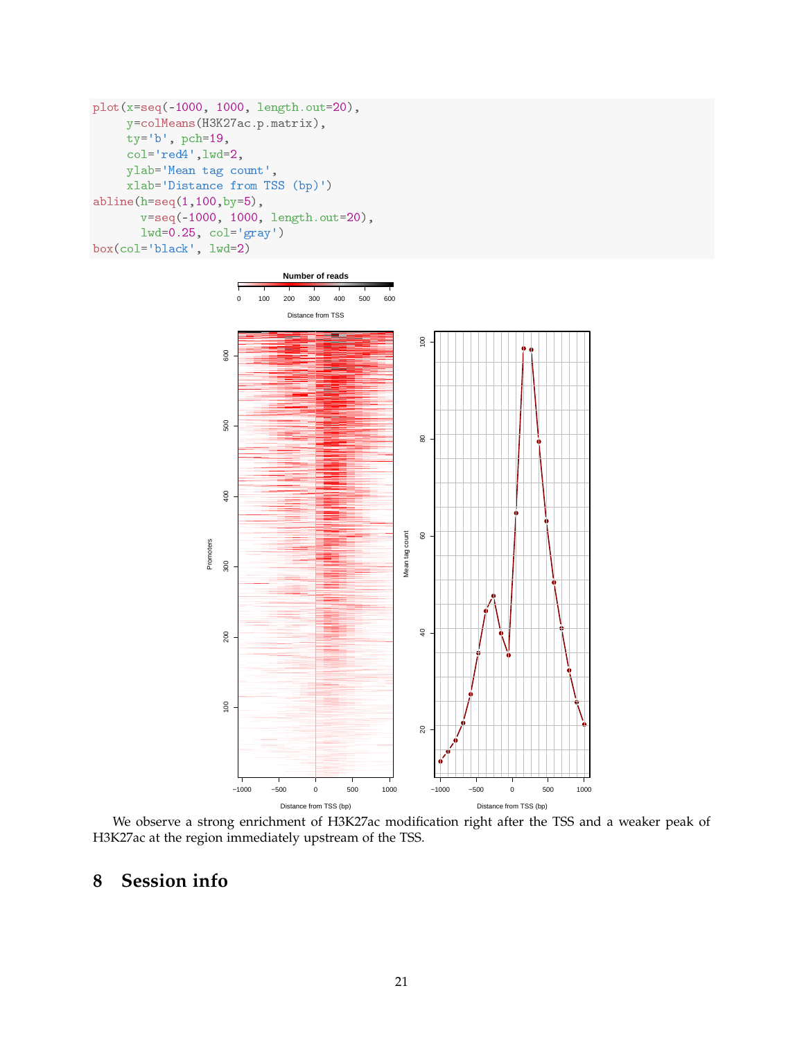```
plot(x=seq(-1000, 1000, length.out=20),
     y=colMeans(H3K27ac.p.matrix),
     ty='b', pch=19,
     col='red4',lwd=2,
     ylab='Mean tag count',
     xlab='Distance from TSS (bp)')
abline(h=seq(1,100,by=5),
       v=seq(-1000, 1000, length.out=20),
       lwd=0.25, col='gray')
box(col='black', lwd=2)
```


We observe a strong enrichment of H3K27ac modification right after the TSS and a weaker peak of H3K27ac at the region immediately upstream of the TSS.

## **8 Session info**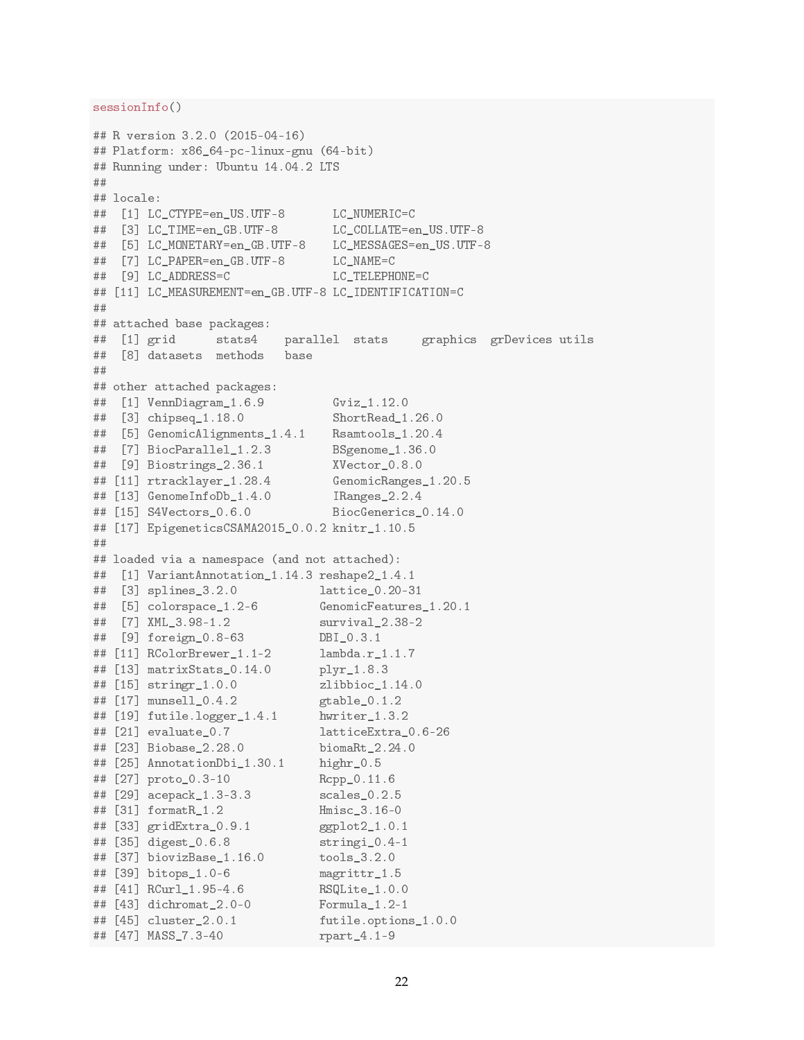```
sessionInfo()
```

```
## R version 3.2.0 (2015-04-16)
## Platform: x86_64-pc-linux-gnu (64-bit)
## Running under: Ubuntu 14.04.2 LTS
##
## locale:
## [1] LC_CTYPE=en_US.UTF-8 LC_NUMERIC=C
## [3] LC TIME=en GB.UTF-8 LC COLLATE=en US.UTF-8
## [5] LC_MONETARY=en_GB.UTF-8 LC_MESSAGES=en_US.UTF-8
## [7] LC_PAPER=en_GB.UTF-8 LC_NAME=C
## [9] LC_ADDRESS=C LC_TELEPHONE=C
## [11] LC_MEASUREMENT=en_GB.UTF-8 LC_IDENTIFICATION=C
##
## attached base packages:
## [1] grid stats4 parallel stats graphics grDevices utils
## [8] datasets methods base
##
## other attached packages:
## [1] VennDiagram_1.6.9 Gviz_1.12.0
## [3] chipseq_1.18.0 ShortRead_1.26.0
## [5] GenomicAlignments_1.4.1 Rsamtools_1.20.4
## [7] BiocParallel_1.2.3 BSgenome_1.36.0
## [9] Biostrings_2.36.1 XVector_0.8.0
## [11] rtracklayer_1.28.4 GenomicRanges_1.20.5
## [13] GenomeInfoDb_1.4.0 IRanges_2.2.4
## [15] S4Vectors_0.6.0 BiocGenerics_0.14.0
## [17] EpigeneticsCSAMA2015_0.0.2 knitr_1.10.5
##
## loaded via a namespace (and not attached):
## [1] VariantAnnotation_1.14.3 reshape2_1.4.1
## [3] splines_3.2.0 lattice_0.20-31
## [5] colorspace_1.2-6 GenomicFeatures_1.20.1
## [7] XML_3.98-1.2 survival_2.38-2
## [9] foreign_0.8-63 DBI_0.3.1
## [11] RColorBrewer_1.1-2 lambda.r_1.1.7
## [13] matrixStats_0.14.0 plyr_1.8.3
## [15] stringr_1.0.0 zlibbioc_1.14.0
## [17] munsell_0.4.2 gtable_0.1.2
## [19] futile.logger_1.4.1 hwriter_1.3.2
## [21] evaluate_0.7 latticeExtra_0.6-26
## [23] Biobase_2.28.0 biomaRt_2.24.0
## [25] AnnotationDbi_1.30.1 highr_0.5
## [27] proto_0.3-10 Rcpp_0.11.6
## [29] acepack_1.3-3.3 scales_0.2.5
## [31] formatR_1.2 Hmisc_3.16-0
## [33] gridExtra_0.9.1 ggplot2_1.0.1
## [35] digest_0.6.8 stringi_0.4-1
## [37] biovizBase_1.16.0 tools_3.2.0
## [39] bitops_1.0-6 magrittr_1.5
## [41] RCurl_1.95-4.6 RSQLite_1.0.0
## [43] dichromat_2.0-0 Formula_1.2-1
## [45] cluster_2.0.1 futile.options_1.0.0
## [47] MASS_7.3-40 rpart_4.1-9
```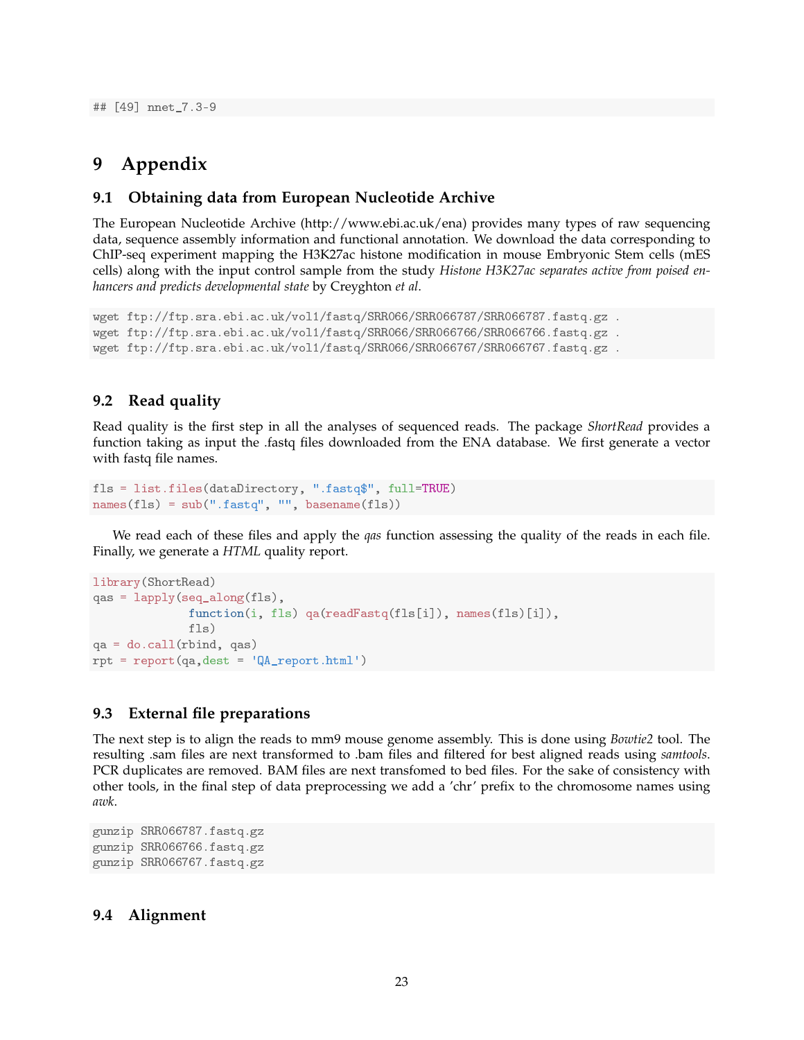## [49] nnet\_7.3-9

## **9 Appendix**

### **9.1 Obtaining data from European Nucleotide Archive**

The European Nucleotide Archive (http://www.ebi.ac.uk/ena) provides many types of raw sequencing data, sequence assembly information and functional annotation. We download the data corresponding to ChIP-seq experiment mapping the H3K27ac histone modification in mouse Embryonic Stem cells (mES cells) along with the input control sample from the study *Histone H3K27ac separates active from poised enhancers and predicts developmental state* by Creyghton *et al*.

```
wget ftp://ftp.sra.ebi.ac.uk/vol1/fastq/SRR066/SRR066787/SRR066787.fastq.gz .
wget ftp://ftp.sra.ebi.ac.uk/vol1/fastq/SRR066/SRR066766/SRR066766.fastq.gz .
wget ftp://ftp.sra.ebi.ac.uk/vol1/fastq/SRR066/SRR066767/SRR066767.fastq.gz .
```
### **9.2 Read quality**

Read quality is the first step in all the analyses of sequenced reads. The package *ShortRead* provides a function taking as input the .fastq files downloaded from the ENA database. We first generate a vector with fastq file names.

```
fls = list.files(dataDirectory, ".fastq$", full=TRUE)
names(fls) = sub(".fastq", "", basename(fls))
```
We read each of these files and apply the *qas* function assessing the quality of the reads in each file. Finally, we generate a *HTML* quality report.

```
library(ShortRead)
qas = lapply(seq_along(fls),
              function(i, fls) qa(readFastq(fls[i]), names(fls)[i]),
              fls)
qa = do.call(rbind, qas)
rpt = report(qa,dest = 'QA_report.html')
```
### **9.3 External file preparations**

The next step is to align the reads to mm9 mouse genome assembly. This is done using *Bowtie2* tool. The resulting .sam files are next transformed to .bam files and filtered for best aligned reads using *samtools*. PCR duplicates are removed. BAM files are next transfomed to bed files. For the sake of consistency with other tools, in the final step of data preprocessing we add a 'chr' prefix to the chromosome names using *awk*.

gunzip SRR066787.fastq.gz gunzip SRR066766.fastq.gz gunzip SRR066767.fastq.gz

### **9.4 Alignment**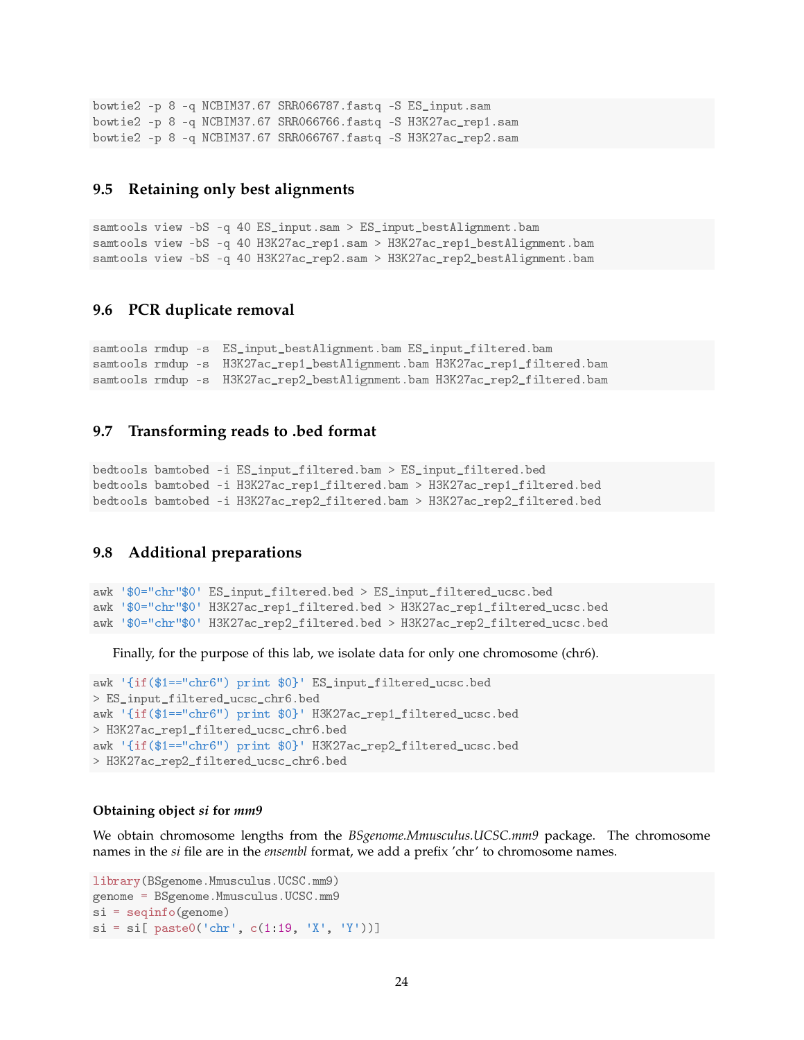```
bowtie2 -p 8 -q NCBIM37.67 SRR066787.fastq -S ES_input.sam
bowtie2 -p 8 -q NCBIM37.67 SRR066766.fastq -S H3K27ac_rep1.sam
bowtie2 -p 8 -q NCBIM37.67 SRR066767.fastq -S H3K27ac_rep2.sam
```
#### **9.5 Retaining only best alignments**

```
samtools view -bS -q 40 ES_input.sam > ES_input_bestAlignment.bam
samtools view -bS -q 40 H3K27ac_rep1.sam > H3K27ac_rep1_bestAlignment.bam
samtools view -bS -q 40 H3K27ac_rep2.sam > H3K27ac_rep2_bestAlignment.bam
```
#### **9.6 PCR duplicate removal**

```
samtools rmdup -s ES_input_bestAlignment.bam ES_input_filtered.bam
samtools rmdup -s H3K27ac_rep1_bestAlignment.bam H3K27ac_rep1_filtered.bam
samtools rmdup -s H3K27ac_rep2_bestAlignment.bam H3K27ac_rep2_filtered.bam
```
### **9.7 Transforming reads to .bed format**

```
bedtools bamtobed -i ES_input_filtered.bam > ES_input_filtered.bed
bedtools bamtobed -i H3K27ac_rep1_filtered.bam > H3K27ac_rep1_filtered.bed
bedtools bamtobed -i H3K27ac_rep2_filtered.bam > H3K27ac_rep2_filtered.bed
```
### **9.8 Additional preparations**

awk '\$0="chr"\$0' ES\_input\_filtered.bed > ES\_input\_filtered\_ucsc.bed awk '\$0="chr"\$0' H3K27ac\_rep1\_filtered.bed > H3K27ac\_rep1\_filtered\_ucsc.bed awk '\$0="chr"\$0' H3K27ac\_rep2\_filtered.bed > H3K27ac\_rep2\_filtered\_ucsc.bed

Finally, for the purpose of this lab, we isolate data for only one chromosome (chr6).

```
awk '{if($1=="chr6") print $0}' ES input filtered ucsc.bed
> ES_input_filtered_ucsc_chr6.bed
awk '{if($1=="chr6") print $0}' H3K27ac_rep1_filtered_ucsc.bed
> H3K27ac_rep1_filtered_ucsc_chr6.bed
awk '{if($1=="chr6") print $0}' H3K27ac_rep2_filtered_ucsc.bed
> H3K27ac_rep2_filtered_ucsc_chr6.bed
```
#### **Obtaining object** *si* **for** *mm9*

We obtain chromosome lengths from the *BSgenome.Mmusculus.UCSC.mm9* package. The chromosome names in the *si* file are in the *ensembl* format, we add a prefix 'chr' to chromosome names.

```
library(BSgenome.Mmusculus.UCSC.mm9)
genome = BSgenome.Mmusculus.UCSC.mm9
si = seqinfo(genome)
si = si[ paste0('chr', c(1:19, 'X', 'Y'))]
```